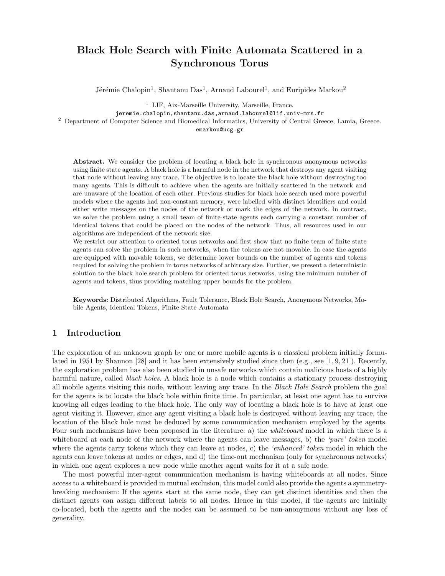# Black Hole Search with Finite Automata Scattered in a Synchronous Torus

Jérémie Chalopin<sup>1</sup>, Shantanu Das<sup>1</sup>, Arnaud Labourel<sup>1</sup>, and Euripides Markou<sup>2</sup>

<sup>1</sup> LIF, Aix-Marseille University, Marseille, France.

jeremie.chalopin,shantanu.das,arnaud.labourel@lif.univ-mrs.fr

<sup>2</sup> Department of Computer Science and Biomedical Informatics, University of Central Greece, Lamia, Greece.

emarkou@ucg.gr

Abstract. We consider the problem of locating a black hole in synchronous anonymous networks using finite state agents. A black hole is a harmful node in the network that destroys any agent visiting that node without leaving any trace. The objective is to locate the black hole without destroying too many agents. This is difficult to achieve when the agents are initially scattered in the network and are unaware of the location of each other. Previous studies for black hole search used more powerful models where the agents had non-constant memory, were labelled with distinct identifiers and could either write messages on the nodes of the network or mark the edges of the network. In contrast, we solve the problem using a small team of finite-state agents each carrying a constant number of identical tokens that could be placed on the nodes of the network. Thus, all resources used in our algorithms are independent of the network size.

We restrict our attention to oriented torus networks and first show that no finite team of finite state agents can solve the problem in such networks, when the tokens are not movable. In case the agents are equipped with movable tokens, we determine lower bounds on the number of agents and tokens required for solving the problem in torus networks of arbitrary size. Further, we present a deterministic solution to the black hole search problem for oriented torus networks, using the minimum number of agents and tokens, thus providing matching upper bounds for the problem.

Keywords: Distributed Algorithms, Fault Tolerance, Black Hole Search, Anonymous Networks, Mobile Agents, Identical Tokens, Finite State Automata

## 1 Introduction

The exploration of an unknown graph by one or more mobile agents is a classical problem initially formulated in 1951 by Shannon [28] and it has been extensively studied since then (e.g., see [1, 9, 21]). Recently, the exploration problem has also been studied in unsafe networks which contain malicious hosts of a highly harmful nature, called *black holes*. A black hole is a node which contains a stationary process destroying all mobile agents visiting this node, without leaving any trace. In the Black Hole Search problem the goal for the agents is to locate the black hole within finite time. In particular, at least one agent has to survive knowing all edges leading to the black hole. The only way of locating a black hole is to have at least one agent visiting it. However, since any agent visiting a black hole is destroyed without leaving any trace, the location of the black hole must be deduced by some communication mechanism employed by the agents. Four such mechanisms have been proposed in the literature: a) the *whiteboard* model in which there is a whiteboard at each node of the network where the agents can leave messages, b) the 'pure' token model where the agents carry tokens which they can leave at nodes, c) the 'enhanced' token model in which the agents can leave tokens at nodes or edges, and d) the time-out mechanism (only for synchronous networks) in which one agent explores a new node while another agent waits for it at a safe node.

The most powerful inter-agent communication mechanism is having whiteboards at all nodes. Since access to a whiteboard is provided in mutual exclusion, this model could also provide the agents a symmetrybreaking mechanism: If the agents start at the same node, they can get distinct identities and then the distinct agents can assign different labels to all nodes. Hence in this model, if the agents are initially co-located, both the agents and the nodes can be assumed to be non-anonymous without any loss of generality.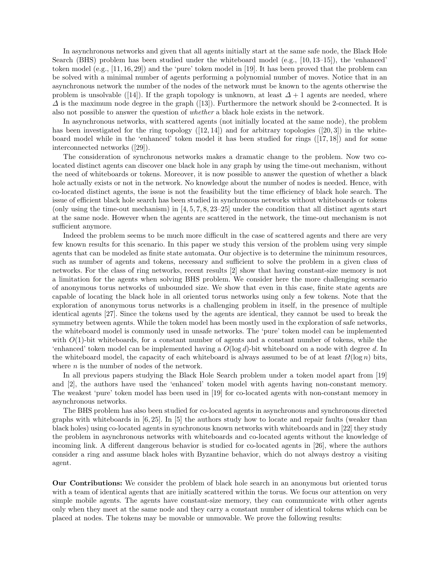In asynchronous networks and given that all agents initially start at the same safe node, the Black Hole Search (BHS) problem has been studied under the whiteboard model (e.g., [10, 13–15]), the 'enhanced' token model (e.g., [11, 16, 29]) and the 'pure' token model in [19]. It has been proved that the problem can be solved with a minimal number of agents performing a polynomial number of moves. Notice that in an asynchronous network the number of the nodes of the network must be known to the agents otherwise the problem is unsolvable ([14]). If the graph topology is unknown, at least  $\Delta + 1$  agents are needed, where  $\Delta$  is the maximum node degree in the graph ([13]). Furthermore the network should be 2-connected. It is also not possible to answer the question of whether a black hole exists in the network.

In asynchronous networks, with scattered agents (not initially located at the same node), the problem has been investigated for the ring topology  $([12, 14])$  and for arbitrary topologies  $([20, 3])$  in the whiteboard model while in the 'enhanced' token model it has been studied for rings ([17, 18]) and for some interconnected networks ([29]).

The consideration of synchronous networks makes a dramatic change to the problem. Now two colocated distinct agents can discover one black hole in any graph by using the time-out mechanism, without the need of whiteboards or tokens. Moreover, it is now possible to answer the question of whether a black hole actually exists or not in the network. No knowledge about the number of nodes is needed. Hence, with co-located distinct agents, the issue is not the feasibility but the time efficiency of black hole search. The issue of efficient black hole search has been studied in synchronous networks without whiteboards or tokens (only using the time-out mechanism) in  $[4, 5, 7, 8, 23-25]$  under the condition that all distinct agents start at the same node. However when the agents are scattered in the network, the time-out mechanism is not sufficient anymore.

Indeed the problem seems to be much more difficult in the case of scattered agents and there are very few known results for this scenario. In this paper we study this version of the problem using very simple agents that can be modeled as finite state automata. Our objective is to determine the minimum resources, such as number of agents and tokens, necessary and sufficient to solve the problem in a given class of networks. For the class of ring networks, recent results [2] show that having constant-size memory is not a limitation for the agents when solving BHS problem. We consider here the more challenging scenario of anonymous torus networks of unbounded size. We show that even in this case, finite state agents are capable of locating the black hole in all oriented torus networks using only a few tokens. Note that the exploration of anonymous torus networks is a challenging problem in itself, in the presence of multiple identical agents [27]. Since the tokens used by the agents are identical, they cannot be used to break the symmetry between agents. While the token model has been mostly used in the exploration of safe networks, the whiteboard model is commonly used in unsafe networks. The 'pure' token model can be implemented with  $O(1)$ -bit whiteboards, for a constant number of agents and a constant number of tokens, while the 'enhanced' token model can be implemented having a  $O(\log d)$ -bit whiteboard on a node with degree d. In the whiteboard model, the capacity of each whiteboard is always assumed to be of at least  $\Omega(\log n)$  bits, where  $n$  is the number of nodes of the network.

In all previous papers studying the Black Hole Search problem under a token model apart from [19] and [2], the authors have used the 'enhanced' token model with agents having non-constant memory. The weakest 'pure' token model has been used in [19] for co-located agents with non-constant memory in asynchronous networks.

The BHS problem has also been studied for co-located agents in asynchronous and synchronous directed graphs with whiteboards in [6, 25]. In [5] the authors study how to locate and repair faults (weaker than black holes) using co-located agents in synchronous known networks with whiteboards and in [22] they study the problem in asynchronous networks with whiteboards and co-located agents without the knowledge of incoming link. A different dangerous behavior is studied for co-located agents in [26], where the authors consider a ring and assume black holes with Byzantine behavior, which do not always destroy a visiting agent.

Our Contributions: We consider the problem of black hole search in an anonymous but oriented torus with a team of identical agents that are initially scattered within the torus. We focus our attention on very simple mobile agents. The agents have constant-size memory, they can communicate with other agents only when they meet at the same node and they carry a constant number of identical tokens which can be placed at nodes. The tokens may be movable or unmovable. We prove the following results: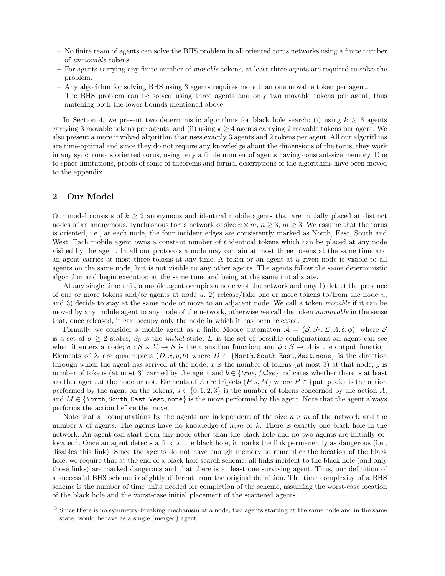- No finite team of agents can solve the BHS problem in all oriented torus networks using a finite number of unmovable tokens.
- $-$  For agents carrying any finite number of *movable* tokens, at least three agents are required to solve the problem.
- Any algorithm for solving BHS using 3 agents requires more than one movable token per agent.
- The BHS problem can be solved using three agents and only two movable tokens per agent, thus matching both the lower bounds mentioned above.

In Section 4, we present two deterministic algorithms for black hole search: (i) using  $k \geq 3$  agents carrying 3 movable tokens per agents, and (ii) using  $k \geq 4$  agents carrying 2 movable tokens per agent. We also present a more involved algorithm that uses exactly 3 agents and 2 tokens per agent. All our algorithms are time-optimal and since they do not require any knowledge about the dimensions of the torus, they work in any synchronous oriented torus, using only a finite number of agents having constant-size memory. Due to space limitations, proofs of some of theorems and formal descriptions of the algorithms have been moved to the appendix.

## 2 Our Model

Our model consists of  $k \geq 2$  anonymous and identical mobile agents that are initially placed at distinct nodes of an anonymous, synchronous torus network of size  $n \times m$ ,  $n \geq 3$ ,  $m \geq 3$ . We assume that the torus is oriented, i.e., at each node, the four incident edges are consistently marked as North, East, South and West. Each mobile agent owns a constant number of t identical tokens which can be placed at any node visited by the agent. In all our protocols a node may contain at most three tokens at the same time and an agent carries at most three tokens at any time. A token or an agent at a given node is visible to all agents on the same node, but is not visible to any other agents. The agents follow the same deterministic algorithm and begin execution at the same time and being at the same initial state.

At any single time unit, a mobile agent occupies a node  $u$  of the network and may 1) detect the presence of one or more tokens and/or agents at node  $u$ , 2) release/take one or more tokens to/from the node  $u$ , and 3) decide to stay at the same node or move to an adjacent node. We call a token *movable* if it can be moved by any mobile agent to any node of the network, otherwise we call the token *unmovable* in the sense that, once released, it can occupy only the node in which it has been released.

Formally we consider a mobile agent as a finite Moore automaton  $\mathcal{A} = (\mathcal{S}, S_0, \Sigma, \Lambda, \delta, \phi)$ , where  $\mathcal{S}$ is a set of  $\sigma \geq 2$  states;  $S_0$  is the *initial* state;  $\Sigma$  is the set of possible configurations an agent can see when it enters a node;  $\delta : \mathcal{S} \times \Sigma \to \mathcal{S}$  is the transition function; and  $\phi : \mathcal{S} \to \Lambda$  is the output function. Elements of  $\Sigma$  are quadruplets  $(D, x, y, b)$  where  $D \in \{\text{North}, \text{South}, \text{East}, \text{West}, \text{none}\}\$ is the direction through which the agent has arrived at the node, x is the number of tokens (at most 3) at that node, y is number of tokens (at most 3) carried by the agent and  $b \in \{true, false\}$  indicates whether there is at least another agent at the node or not. Elements of  $\Lambda$  are triplets  $(P, s, M)$  where  $P \in \{\text{put}, \text{pick}\}\$ is the action performed by the agent on the tokens,  $s \in \{0, 1, 2, 3\}$  is the number of tokens concerned by the action A, and  $M \in \{\text{North}, \text{South}, \text{East}, \text{West}, \text{none}\}\$  is the move performed by the agent. Note that the agent always performs the action before the move.

Note that all computations by the agents are independent of the size  $n \times m$  of the network and the number k of agents. The agents have no knowledge of  $n, m$  or k. There is exactly one black hole in the network. An agent can start from any node other than the black hole and no two agents are initially colocated<sup>3</sup>. Once an agent detects a link to the black hole, it marks the link permanently as dangerous (i.e., disables this link). Since the agents do not have enough memory to remember the location of the black hole, we require that at the end of a black hole search scheme, all links incident to the black hole (and only those links) are marked dangerous and that there is at least one surviving agent. Thus, our definition of a successful BHS scheme is slightly different from the original definition. The time complexity of a BHS scheme is the number of time units needed for completion of the scheme, assuming the worst-case location of the black hole and the worst-case initial placement of the scattered agents.

<sup>&</sup>lt;sup>3</sup> Since there is no symmetry-breaking mechanism at a node, two agents starting at the same node and in the same state, would behave as a single (merged) agent.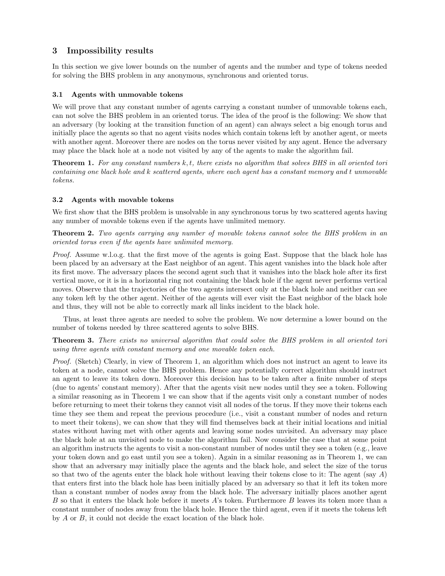## 3 Impossibility results

In this section we give lower bounds on the number of agents and the number and type of tokens needed for solving the BHS problem in any anonymous, synchronous and oriented torus.

## 3.1 Agents with unmovable tokens

We will prove that any constant number of agents carrying a constant number of unmovable tokens each, can not solve the BHS problem in an oriented torus. The idea of the proof is the following: We show that an adversary (by looking at the transition function of an agent) can always select a big enough torus and initially place the agents so that no agent visits nodes which contain tokens left by another agent, or meets with another agent. Moreover there are nodes on the torus never visited by any agent. Hence the adversary may place the black hole at a node not visited by any of the agents to make the algorithm fail.

**Theorem 1.** For any constant numbers  $k, t$ , there exists no algorithm that solves BHS in all oriented tori containing one black hole and k scattered agents, where each agent has a constant memory and t unmovable tokens.

## 3.2 Agents with movable tokens

We first show that the BHS problem is unsolvable in any synchronous torus by two scattered agents having any number of movable tokens even if the agents have unlimited memory.

Theorem 2. Two agents carrying any number of movable tokens cannot solve the BHS problem in an oriented torus even if the agents have unlimited memory.

Proof. Assume w.l.o.g. that the first move of the agents is going East. Suppose that the black hole has been placed by an adversary at the East neighbor of an agent. This agent vanishes into the black hole after its first move. The adversary places the second agent such that it vanishes into the black hole after its first vertical move, or it is in a horizontal ring not containing the black hole if the agent never performs vertical moves. Observe that the trajectories of the two agents intersect only at the black hole and neither can see any token left by the other agent. Neither of the agents will ever visit the East neighbor of the black hole and thus, they will not be able to correctly mark all links incident to the black hole.

Thus, at least three agents are needed to solve the problem. We now determine a lower bound on the number of tokens needed by three scattered agents to solve BHS.

Theorem 3. There exists no universal algorithm that could solve the BHS problem in all oriented tori using three agents with constant memory and one movable token each.

Proof. (Sketch) Clearly, in view of Theorem 1, an algorithm which does not instruct an agent to leave its token at a node, cannot solve the BHS problem. Hence any potentially correct algorithm should instruct an agent to leave its token down. Moreover this decision has to be taken after a finite number of steps (due to agents' constant memory). After that the agents visit new nodes until they see a token. Following a similar reasoning as in Theorem 1 we can show that if the agents visit only a constant number of nodes before returning to meet their tokens they cannot visit all nodes of the torus. If they move their tokens each time they see them and repeat the previous procedure (i.e., visit a constant number of nodes and return to meet their tokens), we can show that they will find themselves back at their initial locations and initial states without having met with other agents and leaving some nodes unvisited. An adversary may place the black hole at an unvisited node to make the algorithm fail. Now consider the case that at some point an algorithm instructs the agents to visit a non-constant number of nodes until they see a token (e.g., leave your token down and go east until you see a token). Again in a similar reasoning as in Theorem 1, we can show that an adversary may initially place the agents and the black hole, and select the size of the torus so that two of the agents enter the black hole without leaving their tokens close to it: The agent (say  $A$ ) that enters first into the black hole has been initially placed by an adversary so that it left its token more than a constant number of nodes away from the black hole. The adversary initially places another agent B so that it enters the black hole before it meets A's token. Furthermore B leaves its token more than a constant number of nodes away from the black hole. Hence the third agent, even if it meets the tokens left by A or B, it could not decide the exact location of the black hole.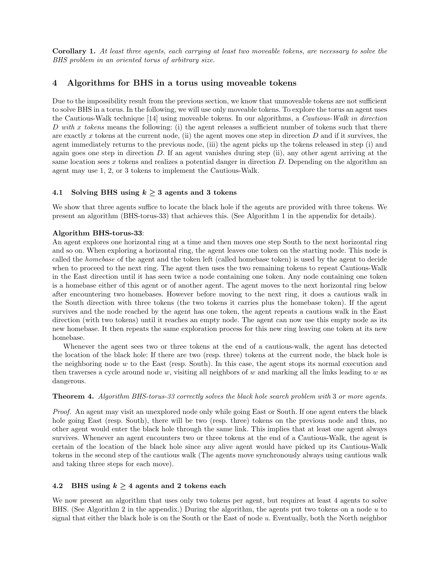Corollary 1. At least three agents, each carrying at least two moveable tokens, are necessary to solve the BHS problem in an oriented torus of arbitrary size.

## 4 Algorithms for BHS in a torus using moveable tokens

Due to the impossibility result from the previous section, we know that unmoveable tokens are not sufficient to solve BHS in a torus. In the following, we will use only moveable tokens. To explore the torus an agent uses the Cautious-Walk technique [14] using moveable tokens. In our algorithms, a Cautious-Walk in direction D with x tokens means the following: (i) the agent releases a sufficient number of tokens such that there are exactly x tokens at the current node, (ii) the agent moves one step in direction  $D$  and if it survives, the agent immediately returns to the previous node, (iii) the agent picks up the tokens released in step (i) and again goes one step in direction  $D$ . If an agent vanishes during step (ii), any other agent arriving at the same location sees x tokens and realizes a potential danger in direction  $D$ . Depending on the algorithm and agent may use 1, 2, or 3 tokens to implement the Cautious-Walk.

## 4.1 Solving BHS using  $k \geq 3$  agents and 3 tokens

We show that three agents suffice to locate the black hole if the agents are provided with three tokens. We present an algorithm (BHS-torus-33) that achieves this. (See Algorithm 1 in the appendix for details).

## Algorithm BHS-torus-33:

An agent explores one horizontal ring at a time and then moves one step South to the next horizontal ring and so on. When exploring a horizontal ring, the agent leaves one token on the starting node. This node is called the homebase of the agent and the token left (called homebase token) is used by the agent to decide when to proceed to the next ring. The agent then uses the two remaining tokens to repeat Cautious-Walk in the East direction until it has seen twice a node containing one token. Any node containing one token is a homebase either of this agent or of another agent. The agent moves to the next horizontal ring below after encountering two homebases. However before moving to the next ring, it does a cautious walk in the South direction with three tokens (the two tokens it carries plus the homebase token). If the agent survives and the node reached by the agent has one token, the agent repeats a cautious walk in the East direction (with two tokens) until it reaches an empty node. The agent can now use this empty node as its new homebase. It then repeats the same exploration process for this new ring leaving one token at its new homebase.

Whenever the agent sees two or three tokens at the end of a cautious-walk, the agent has detected the location of the black hole: If there are two (resp. three) tokens at the current node, the black hole is the neighboring node w to the East (resp. South). In this case, the agent stops its normal execution and then traverses a cycle around node w, visiting all neighbors of w and marking all the links leading to w as dangerous.

#### Theorem 4. Algorithm BHS-torus-33 correctly solves the black hole search problem with 3 or more agents.

Proof. An agent may visit an unexplored node only while going East or South. If one agent enters the black hole going East (resp. South), there will be two (resp. three) tokens on the previous node and thus, no other agent would enter the black hole through the same link. This implies that at least one agent always survives. Whenever an agent encounters two or three tokens at the end of a Cautious-Walk, the agent is certain of the location of the black hole since any alive agent would have picked up its Cautious-Walk tokens in the second step of the cautious walk (The agents move synchronously always using cautious walk and taking three steps for each move).

## 4.2 BHS using  $k \geq 4$  agents and 2 tokens each

We now present an algorithm that uses only two tokens per agent, but requires at least 4 agents to solve BHS. (See Algorithm 2 in the appendix.) During the algorithm, the agents put two tokens on a node  $u$  to signal that either the black hole is on the South or the East of node u. Eventually, both the North neighbor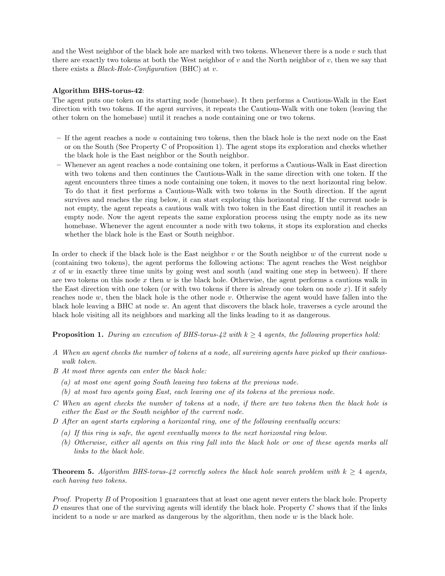and the West neighbor of the black hole are marked with two tokens. Whenever there is a node  $v$  such that there are exactly two tokens at both the West neighbor of  $v$  and the North neighbor of  $v$ , then we say that there exists a *Black-Hole-Configuration* (BHC) at  $v$ .

## Algorithm BHS-torus-42:

The agent puts one token on its starting node (homebase). It then performs a Cautious-Walk in the East direction with two tokens. If the agent survives, it repeats the Cautious-Walk with one token (leaving the other token on the homebase) until it reaches a node containing one or two tokens.

- $-$  If the agent reaches a node u containing two tokens, then the black hole is the next node on the East or on the South (See Property C of Proposition 1). The agent stops its exploration and checks whether the black hole is the East neighbor or the South neighbor.
- Whenever an agent reaches a node containing one token, it performs a Cautious-Walk in East direction with two tokens and then continues the Cautious-Walk in the same direction with one token. If the agent encounters three times a node containing one token, it moves to the next horizontal ring below. To do that it first performs a Cautious-Walk with two tokens in the South direction. If the agent survives and reaches the ring below, it can start exploring this horizontal ring. If the current node is not empty, the agent repeats a cautious walk with two token in the East direction until it reaches an empty node. Now the agent repeats the same exploration process using the empty node as its new homebase. Whenever the agent encounter a node with two tokens, it stops its exploration and checks whether the black hole is the East or South neighbor.

In order to check if the black hole is the East neighbor  $v$  or the South neighbor  $w$  of the current node  $u$ (containing two tokens), the agent performs the following actions: The agent reaches the West neighbor x of w in exactly three time units by going west and south (and waiting one step in between). If there are two tokens on this node  $x$  then  $w$  is the black hole. Otherwise, the agent performs a cautious walk in the East direction with one token (or with two tokens if there is already one token on node x). If it safely reaches node w, then the black hole is the other node v. Otherwise the agent would have fallen into the black hole leaving a BHC at node w. An agent that discovers the black hole, traverses a cycle around the black hole visiting all its neighbors and marking all the links leading to it as dangerous.

**Proposition 1.** During an execution of BHS-torus-42 with  $k \geq 4$  agents, the following properties hold:

- A When an agent checks the number of tokens at a node, all surviving agents have picked up their cautiouswalk token.
- B At most three agents can enter the black hole:
	- (a) at most one agent going South leaving two tokens at the previous node.
	- (b) at most two agents going East, each leaving one of its tokens at the previous node.
- C When an agent checks the number of tokens at a node, if there are two tokens then the black hole is either the East or the South neighbor of the current node.
- D After an agent starts exploring a horizontal ring, one of the following eventually occurs:
	- (a) If this ring is safe, the agent eventually moves to the next horizontal ring below.
	- (b) Otherwise, either all agents on this ring fall into the black hole or one of these agents marks all links to the black hole.

**Theorem 5.** Algorithm BHS-torus-42 correctly solves the black hole search problem with  $k \geq 4$  agents, each having two tokens.

Proof. Property B of Proposition 1 guarantees that at least one agent never enters the black hole. Property D ensures that one of the surviving agents will identify the black hole. Property  $C$  shows that if the links incident to a node  $w$  are marked as dangerous by the algorithm, then node  $w$  is the black hole.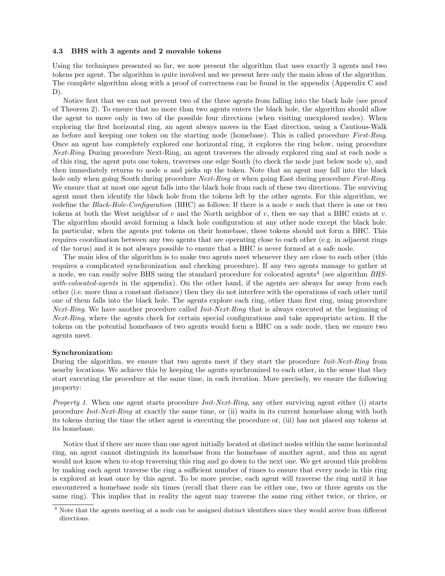#### 4.3 BHS with 3 agents and 2 movable tokens

Using the techniques presented so far, we now present the algorithm that uses exactly 3 agents and two tokens per agent. The algorithm is quite involved and we present here only the main ideas of the algorithm. The complete algorithm along with a proof of correctness can be found in the appendix (Appendix C and D).

Notice first that we can not prevent two of the three agents from falling into the black hole (see proof of Theorem 2). To ensure that no more than two agents enters the black hole, the algorithm should allow the agent to move only in two of the possible four directions (when visiting unexplored nodes). When exploring the first horizontal ring, an agent always moves in the East direction, using a Cautious-Walk as before and keeping one token on the starting node (homebase). This is called procedure First-Ring. Once an agent has completely explored one horizontal ring, it explores the ring below, using procedure Next-Ring. During procedure Next-Ring, an agent traverses the already explored ring and at each node u of this ring, the agent puts one token, traverses one edge South (to check the node just below node  $u$ ), and then immediately returns to node u and picks up the token. Note that an agent may fall into the black hole only when going South during procedure Next-Ring or when going East during procedure First-Ring. We ensure that at most one agent falls into the black hole from each of these two directions. The surviving agent must then identify the black hole from the tokens left by the other agents. For this algorithm, we redefine the Black-Hole-Configuration (BHC) as follows: If there is a node v such that there is one or two tokens at both the West neighbor of  $v$  and the North neighbor of  $v$ , then we say that a BHC exists at  $v$ . The algorithm should avoid forming a black hole configuration at any other node except the black hole. In particular, when the agents put tokens on their homebase, these tokens should not form a BHC. This requires coordination between any two agents that are operating close to each other (e.g. in adjacent rings of the torus) and it is not always possible to ensure that a BHC is never formed at a safe node.

The main idea of the algorithm is to make two agents meet whenever they are close to each other (this requires a complicated synchronization and checking procedure). If any two agents manage to gather at a node, we can easily solve BHS using the standard procedure for colocated agents<sup>4</sup> (see algorithm  $BHS$ with-colocated-agents in the appendix). On the other hand, if the agents are always far away from each other (i.e. more than a constant distance) then they do not interfere with the operations of each other until one of them falls into the black hole. The agents explore each ring, other than first ring, using procedure *Next-Ring.* We have another procedure called *Init-Next-Ring* that is always executed at the beginning of Next-Ring, where the agents check for certain special configurations and take appropriate action. If the tokens on the potential homebases of two agents would form a BHC on a safe node, then we ensure two agents meet.

#### Synchronization:

During the algorithm, we ensure that two agents meet if they start the procedure *Init-Next-Ring* from nearby locations. We achieve this by keeping the agents synchronized to each other, in the sense that they start executing the procedure at the same time, in each iteration. More precisely, we ensure the following property:

Property 1. When one agent starts procedure Init-Next-Ring, any other surviving agent either (i) starts procedure Init-Next-Ring at exactly the same time, or (ii) waits in its current homebase along with both its tokens during the time the other agent is executing the procedure or, (iii) has not placed any tokens at its homebase.

Notice that if there are more than one agent initially located at distinct nodes within the same horizontal ring, an agent cannot distinguish its homebase from the homebase of another agent, and thus an agent would not know when to stop traversing this ring and go down to the next one. We get around this problem by making each agent traverse the ring a sufficient number of times to ensure that every node in this ring is explored at least once by this agent. To be more precise, each agent will traverse the ring until it has encountered a homebase node six times (recall that there can be either one, two or three agents on the same ring). This implies that in reality the agent may traverse the same ring either twice, or thrice, or

<sup>&</sup>lt;sup>4</sup> Note that the agents meeting at a node can be assigned distinct identifiers since they would arrive from different directions.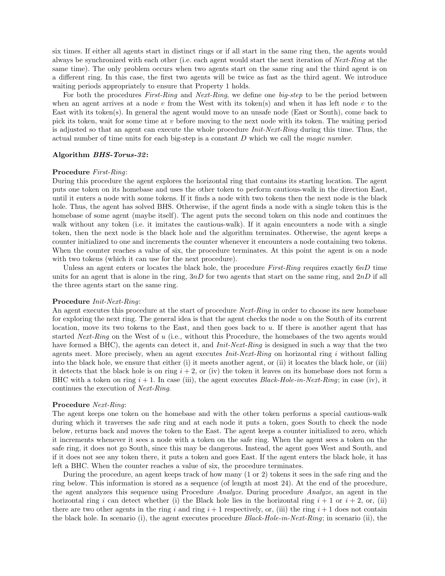six times. If either all agents start in distinct rings or if all start in the same ring then, the agents would always be synchronized with each other (i.e. each agent would start the next iteration of Next-Ring at the same time). The only problem occurs when two agents start on the same ring and the third agent is on a different ring. In this case, the first two agents will be twice as fast as the third agent. We introduce waiting periods appropriately to ensure that Property 1 holds.

For both the procedures First-Ring and Next-Ring, we define one big-step to be the period between when an agent arrives at a node v from the West with its token(s) and when it has left node v to the East with its token(s). In general the agent would move to an unsafe node (East or South), come back to pick its token, wait for some time at v before moving to the next node with its token. The waiting period is adjusted so that an agent can execute the whole procedure Init-Next-Ring during this time. Thus, the actual number of time units for each big-step is a constant  $D$  which we call the *magic number*.

#### Algorithm BHS-Torus-32:

#### Procedure First-Ring:

During this procedure the agent explores the horizontal ring that contains its starting location. The agent puts one token on its homebase and uses the other token to perform cautious-walk in the direction East, until it enters a node with some tokens. If it finds a node with two tokens then the next node is the black hole. Thus, the agent has solved BHS. Otherwise, if the agent finds a node with a single token this is the homebase of some agent (maybe itself). The agent puts the second token on this node and continues the walk without any token (i.e. it imitates the cautious-walk). If it again encounters a node with a single token, then the next node is the black hole and the algorithm terminates. Otherwise, the agent keeps a counter initialized to one and increments the counter whenever it encounters a node containing two tokens. When the counter reaches a value of six, the procedure terminates. At this point the agent is on a node with two tokens (which it can use for the next procedure).

Unless an agent enters or locates the black hole, the procedure  $First-Ring$  requires exactly  $6nD$  time units for an agent that is alone in the ring,  $3nD$  for two agents that start on the same ring, and  $2nD$  if all the three agents start on the same ring.

#### Procedure Init-Next-Ring:

An agent executes this procedure at the start of procedure Next-Ring in order to choose its new homebase for exploring the next ring. The general idea is that the agent checks the node  $u$  on the South of its current location, move its two tokens to the East, and then goes back to u. If there is another agent that has started Next-Ring on the West of u (i.e., without this Procedure, the homebases of the two agents would have formed a BHC), the agents can detect it, and *Init-Next-Ring* is designed in such a way that the two agents meet. More precisely, when an agent executes  $Init-Next\text{-}Ring$  on horizontal ring i without falling into the black hole, we ensure that either (i) it meets another agent, or (ii) it locates the black hole, or (iii) it detects that the black hole is on ring  $i + 2$ , or (iv) the token it leaves on its homebase does not form a BHC with a token on ring  $i + 1$ . In case (iii), the agent executes *Black-Hole-in-Next-Ring*; in case (iv), it continues the execution of Next-Ring.

#### Procedure Next-Ring:

The agent keeps one token on the homebase and with the other token performs a special cautious-walk during which it traverses the safe ring and at each node it puts a token, goes South to check the node below, returns back and moves the token to the East. The agent keeps a counter initialized to zero, which it increments whenever it sees a node with a token on the safe ring. When the agent sees a token on the safe ring, it does not go South, since this may be dangerous. Instead, the agent goes West and South, and if it does not see any token there, it puts a token and goes East. If the agent enters the black hole, it has left a BHC. When the counter reaches a value of six, the procedure terminates.

During the procedure, an agent keeps track of how many (1 or 2) tokens it sees in the safe ring and the ring below. This information is stored as a sequence (of length at most 24). At the end of the procedure, the agent analyzes this sequence using Procedure Analyze. During procedure Analyze, an agent in the horizontal ring i can detect whether (i) the Black hole lies in the horizontal ring  $i + 1$  or  $i + 2$ , or, (ii) there are two other agents in the ring i and ring  $i+1$  respectively, or, (iii) the ring  $i+1$  does not contain the black hole. In scenario (i), the agent executes procedure  $Black-Hole-in-Next-Ring$ ; in scenario (ii), the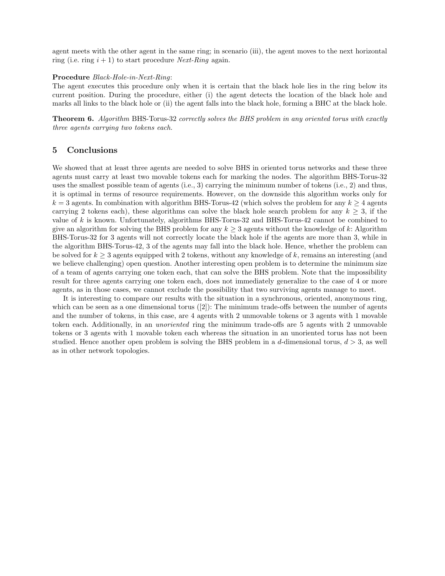agent meets with the other agent in the same ring; in scenario (iii), the agent moves to the next horizontal ring (i.e. ring  $i + 1$ ) to start procedure *Next-Ring* again.

#### Procedure Black-Hole-in-Next-Ring:

The agent executes this procedure only when it is certain that the black hole lies in the ring below its current position. During the procedure, either (i) the agent detects the location of the black hole and marks all links to the black hole or (ii) the agent falls into the black hole, forming a BHC at the black hole.

Theorem 6. Algorithm BHS-Torus-32 correctly solves the BHS problem in any oriented torus with exactly three agents carrying two tokens each.

## 5 Conclusions

We showed that at least three agents are needed to solve BHS in oriented torus networks and these three agents must carry at least two movable tokens each for marking the nodes. The algorithm BHS-Torus-32 uses the smallest possible team of agents (i.e., 3) carrying the minimum number of tokens (i.e., 2) and thus, it is optimal in terms of resource requirements. However, on the downside this algorithm works only for  $k = 3$  agents. In combination with algorithm BHS-Torus-42 (which solves the problem for any  $k \geq 4$  agents carrying 2 tokens each), these algorithms can solve the black hole search problem for any  $k \geq 3$ , if the value of k is known. Unfortunately, algorithms BHS-Torus-32 and BHS-Torus-42 cannot be combined to give an algorithm for solving the BHS problem for any  $k > 3$  agents without the knowledge of k: Algorithm BHS-Torus-32 for 3 agents will not correctly locate the black hole if the agents are more than 3, while in the algorithm BHS-Torus-42, 3 of the agents may fall into the black hole. Hence, whether the problem can be solved for  $k \geq 3$  agents equipped with 2 tokens, without any knowledge of k, remains an interesting (and we believe challenging) open question. Another interesting open problem is to determine the minimum size of a team of agents carrying one token each, that can solve the BHS problem. Note that the impossibility result for three agents carrying one token each, does not immediately generalize to the case of 4 or more agents, as in those cases, we cannot exclude the possibility that two surviving agents manage to meet.

It is interesting to compare our results with the situation in a synchronous, oriented, anonymous ring, which can be seen as a one dimensional torus  $([2])$ : The minimum trade-offs between the number of agents and the number of tokens, in this case, are 4 agents with 2 unmovable tokens or 3 agents with 1 movable token each. Additionally, in an unoriented ring the minimum trade-offs are 5 agents with 2 unmovable tokens or 3 agents with 1 movable token each whereas the situation in an unoriented torus has not been studied. Hence another open problem is solving the BHS problem in a d-dimensional torus,  $d > 3$ , as well as in other network topologies.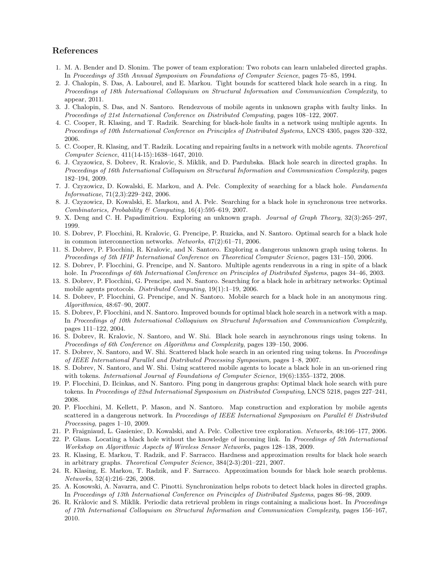## References

- 1. M. A. Bender and D. Slonim. The power of team exploration: Two robots can learn unlabeled directed graphs. In Proceedings of 35th Annual Symposium on Foundations of Computer Science, pages 75–85, 1994.
- 2. J. Chalopin, S. Das, A. Labourel, and E. Markou. Tight bounds for scattered black hole search in a ring. In Proceedings of 18th International Colloquium on Structural Information and Communication Complexity, to appear, 2011.
- 3. J. Chalopin, S. Das, and N. Santoro. Rendezvous of mobile agents in unknown graphs with faulty links. In Proceedings of 21st International Conference on Distributed Computing, pages 108–122, 2007.
- 4. C. Cooper, R. Klasing, and T. Radzik. Searching for black-hole faults in a network using multiple agents. In Proceedings of 10th International Conference on Principles of Distributed Systems, LNCS 4305, pages 320–332, 2006.
- 5. C. Cooper, R. Klasing, and T. Radzik. Locating and repairing faults in a network with mobile agents. Theoretical Computer Science, 411(14-15):1638–1647, 2010.
- 6. J. Czyzowicz, S. Dobrev, R. Kralovic, S. Miklik, and D. Pardubska. Black hole search in directed graphs. In Proceedings of 16th International Colloquium on Structural Information and Communication Complexity, pages 182–194, 2009.
- 7. J. Czyzowicz, D. Kowalski, E. Markou, and A. Pelc. Complexity of searching for a black hole. Fundamenta Informaticae, 71(2,3):229–242, 2006.
- 8. J. Czyzowicz, D. Kowalski, E. Markou, and A. Pelc. Searching for a black hole in synchronous tree networks. Combinatorics, Probability & Computing,  $16(4):595-619$ , 2007.
- 9. X. Deng and C. H. Papadimitriou. Exploring an unknown graph. Journal of Graph Theory, 32(3):265–297, 1999.
- 10. S. Dobrev, P. Flocchini, R. Kralovic, G. Prencipe, P. Ruzicka, and N. Santoro. Optimal search for a black hole in common interconnection networks. Networks, 47(2):61–71, 2006.
- 11. S. Dobrev, P. Flocchini, R. Kralovic, and N. Santoro. Exploring a dangerous unknown graph using tokens. In Proceedings of 5th IFIP International Conference on Theoretical Computer Science, pages 131–150, 2006.
- 12. S. Dobrev, P. Flocchini, G. Prencipe, and N. Santoro. Multiple agents rendezvous in a ring in spite of a black hole. In Proceedings of 6th International Conference on Principles of Distributed Systems, pages 34–46, 2003.
- 13. S. Dobrev, P. Flocchini, G. Prencipe, and N. Santoro. Searching for a black hole in arbitrary networks: Optimal mobile agents protocols. Distributed Computing, 19(1):1–19, 2006.
- 14. S. Dobrev, P. Flocchini, G. Prencipe, and N. Santoro. Mobile search for a black hole in an anonymous ring. Algorithmica, 48:67–90, 2007.
- 15. S. Dobrev, P. Flocchini, and N. Santoro. Improved bounds for optimal black hole search in a network with a map. In Proceedings of 10th International Colloquium on Structural Information and Communication Complexity, pages 111–122, 2004.
- 16. S. Dobrev, R. Kralovic, N. Santoro, and W. Shi. Black hole search in asynchronous rings using tokens. In Proceedings of 6th Conference on Algorithms and Complexity, pages 139–150, 2006.
- 17. S. Dobrev, N. Santoro, and W. Shi. Scattered black hole search in an oriented ring using tokens. In Proceedings of IEEE International Parallel and Distributed Processing Symposium, pages 1–8, 2007.
- 18. S. Dobrev, N. Santoro, and W. Shi. Using scattered mobile agents to locate a black hole in an un-oriened ring with tokens. International Journal of Foundations of Computer Science, 19(6):1355-1372, 2008.
- 19. P. Flocchini, D. Ilcinkas, and N. Santoro. Ping pong in dangerous graphs: Optimal black hole search with pure tokens. In Proceedings of 22nd International Symposium on Distributed Computing, LNCS 5218, pages 227–241, 2008.
- 20. P. Flocchini, M. Kellett, P. Mason, and N. Santoro. Map construction and exploration by mobile agents scattered in a dangerous network. In Proceedings of IEEE International Symposium on Parallel & Distributed Processing, pages 1–10, 2009.
- 21. P. Fraigniaud, L. Gasieniec, D. Kowalski, and A. Pelc. Collective tree exploration. Networks, 48:166–177, 2006.
- 22. P. Glaus. Locating a black hole without the knowledge of incoming link. In Proceedings of 5th International Workshop on Algorithmic Aspects of Wireless Sensor Networks, pages 128–138, 2009.
- 23. R. Klasing, E. Markou, T. Radzik, and F. Sarracco. Hardness and approximation results for black hole search in arbitrary graphs. Theoretical Computer Science, 384(2-3):201–221, 2007.
- 24. R. Klasing, E. Markou, T. Radzik, and F. Sarracco. Approximation bounds for black hole search problems. Networks, 52(4):216–226, 2008.
- 25. A. Kosowski, A. Navarra, and C. Pinotti. Synchronization helps robots to detect black holes in directed graphs. In Proceedings of 13th International Conference on Principles of Distributed Systems, pages 86–98, 2009.
- 26. R. Kràlovic and S. Miklìk. Periodic data retrieval problem in rings containing a malicious host. In Proceedings of 17th International Colloquium on Structural Information and Communication Complexity, pages 156–167, 2010.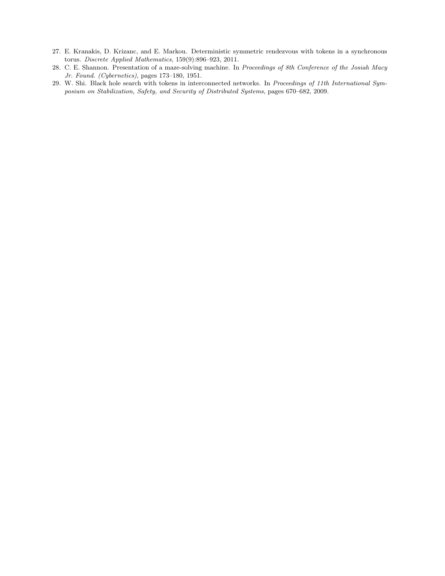- 27. E. Kranakis, D. Krizanc, and E. Markou. Deterministic symmetric rendezvous with tokens in a synchronous torus. Discrete Applied Mathematics, 159(9):896–923, 2011.
- 28. C. E. Shannon. Presentation of a maze-solving machine. In Proceedings of 8th Conference of the Josiah Macy Jr. Found. (Cybernetics), pages 173–180, 1951.
- 29. W. Shi. Black hole search with tokens in interconnected networks. In Proceedings of 11th International Symposium on Stabilization, Safety, and Security of Distributed Systems, pages 670–682, 2009.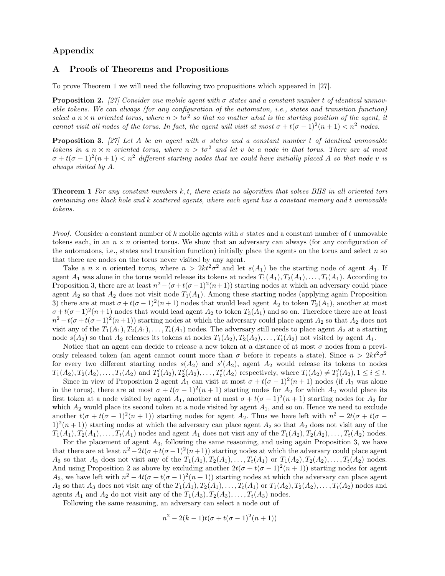## Appendix

## A Proofs of Theorems and Propositions

To prove Theorem 1 we will need the following two propositions which appeared in [27].

**Proposition 2.** [27] Consider one mobile agent with  $\sigma$  states and a constant number t of identical unmovable tokens. We can always (for any configuration of the automaton, i.e., states and transition function) select a  $n \times n$  oriented torus, where  $n > t\sigma^2$  so that no matter what is the starting position of the agent, it cannot visit all nodes of the torus. In fact, the agent will visit at most  $\sigma + t(\sigma - 1)^2(n+1) < n^2$  nodes.

**Proposition 3.** [27] Let A be an agent with  $\sigma$  states and a constant number t of identical unmovable tokens in a  $n \times n$  oriented torus, where  $n > t\sigma^2$  and let v be a node in that torus. There are at most  $\sigma + t(\sigma - 1)^2(n+1) < n^2$  different starting nodes that we could have initially placed A so that node v is always visited by A.

**Theorem 1** For any constant numbers  $k, t$ , there exists no algorithm that solves BHS in all oriented tori  $containing one black hole and k scattered agents, where each agent has a constant memory and t unmovable$ tokens.

*Proof.* Consider a constant number of k mobile agents with  $\sigma$  states and a constant number of t unmovable tokens each, in an  $n \times n$  oriented torus. We show that an adversary can always (for any configuration of the automatons, i.e., states and transition function) initially place the agents on the torus and select  $n$  so that there are nodes on the torus never visited by any agent.

Take a  $n \times n$  oriented torus, where  $n > 2kt^2\sigma^2$  and let  $s(A_1)$  be the starting node of agent  $A_1$ . If agent  $A_1$  was alone in the torus would release its tokens at nodes  $T_1(A_1), T_2(A_1), \ldots, T_t(A_1)$ . According to Proposition 3, there are at least  $n^2 - (\sigma + t(\sigma - 1)^2(n+1))$  starting nodes at which an adversary could place agent  $A_2$  so that  $A_2$  does not visit node  $T_1(A_1)$ . Among these starting nodes (applying again Proposition 3) there are at most  $\sigma + t(\sigma - 1)^2(n+1)$  nodes that would lead agent  $A_2$  to token  $T_2(A_1)$ , another at most  $\sigma + t(\sigma - 1)^2(n+1)$  nodes that would lead agent  $A_2$  to token  $T_3(A_1)$  and so on. Therefore there are at least  $n^2 - t(\sigma + t(\sigma - 1)^2(n+1))$  starting nodes at which the adversary could place agent  $A_2$  so that  $A_2$  does not visit any of the  $T_1(A_1), T_2(A_1), \ldots, T_t(A_1)$  nodes. The adversary still needs to place agent  $A_2$  at a starting node  $s(A_2)$  so that  $A_2$  releases its tokens at nodes  $T_1(A_2), T_2(A_2), \ldots, T_t(A_2)$  not visited by agent  $A_1$ .

Notice that an agent can decide to release a new token at a distance of at most  $\sigma$  nodes from a previously released token (an agent cannot count more than  $\sigma$  before it repeats a state). Since  $n > 2kt^2\sigma^2$ for every two different starting nodes  $s(A_2)$  and  $s'(A_2)$ , agent  $A_2$  would release its tokens to nodes  $T_1(A_2), T_2(A_2), \ldots, T_t(A_2)$  and  $T'_1(A_2), T'_2(A_2), \ldots, T'_t(A_2)$  respectively, where  $T_i(A_2) \neq T'_i(A_2), 1 \leq i \leq t$ .

Since in view of Proposition 2 agent  $A_1$  can visit at most  $\sigma + t(\sigma - 1)^2(n+1)$  nodes (if  $A_1$  was alone in the torus), there are at most  $\sigma + t(\sigma - 1)^2(n + 1)$  starting nodes for  $A_2$  for which  $A_2$  would place its first token at a node visited by agent  $A_1$ , another at most  $\sigma + t(\sigma - 1)^2(n + 1)$  starting nodes for  $A_2$  for which  $A_2$  would place its second token at a node visited by agent  $A_1$ , and so on. Hence we need to exclude another  $t(\sigma + t(\sigma - 1)^2(n + 1))$  starting nodes for agent  $A_2$ . Thus we have left with  $n^2 - 2t(\sigma + t(\sigma (1)^2(n+1)$  starting nodes at which the adversary can place agent  $A_2$  so that  $A_2$  does not visit any of the  $T_1(A_1), T_2(A_1), \ldots, T_t(A_1)$  nodes and agent  $A_1$  does not visit any of the  $T_1(A_2), T_2(A_2), \ldots, T_t(A_2)$  nodes.

For the placement of agent  $A_3$ , following the same reasoning, and using again Proposition 3, we have that there are at least  $n^2 - 2t(\sigma + t(\sigma - 1)^2(n+1))$  starting nodes at which the adversary could place agent  $A_3$  so that  $A_3$  does not visit any of the  $T_1(A_1), T_2(A_1), \ldots, T_t(A_1)$  or  $T_1(A_2), T_2(A_2), \ldots, T_t(A_2)$  nodes. And using Proposition 2 as above by excluding another  $2t(\sigma + t(\sigma - 1)^2(n + 1))$  starting nodes for agent A<sub>3</sub>, we have left with  $n^2 - 4t(\sigma + t(\sigma - 1)^2(n + 1))$  starting nodes at which the adversary can place agent  $A_3$  so that  $A_3$  does not visit any of the  $T_1(A_1), T_2(A_1), \ldots, T_t(A_1)$  or  $T_1(A_2), T_2(A_2), \ldots, T_t(A_2)$  nodes and agents  $A_1$  and  $A_2$  do not visit any of the  $T_1(A_3), T_2(A_3), \ldots, T_t(A_3)$  nodes.

Following the same reasoning, an adversary can select a node out of

$$
n^2 - 2(k-1)t(\sigma + t(\sigma - 1)^2(n+1))
$$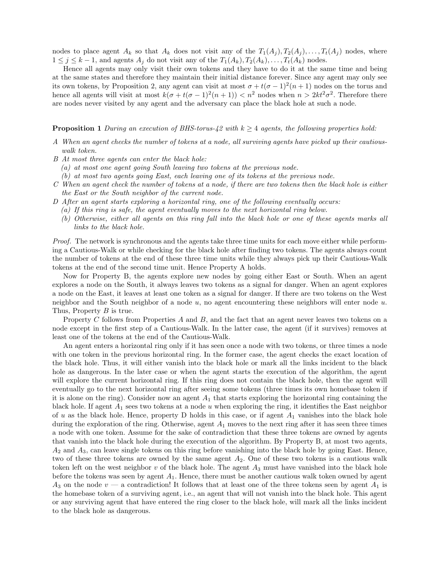nodes to place agent  $A_k$  so that  $A_k$  does not visit any of the  $T_1(A_i), T_2(A_i), \ldots, T_t(A_i)$  nodes, where  $1 \leq j \leq k-1$ , and agents  $A_j$  do not visit any of the  $T_1(A_k), T_2(A_k), \ldots, T_t(A_k)$  nodes.

Hence all agents may only visit their own tokens and they have to do it at the same time and being at the same states and therefore they maintain their initial distance forever. Since any agent may only see its own tokens, by Proposition 2, any agent can visit at most  $\sigma + t(\sigma - 1)^2(n+1)$  nodes on the torus and hence all agents will visit at most  $k(\sigma + t(\sigma - 1)^2(n + 1)) < n^2$  nodes when  $n > 2kt^2\sigma^2$ . Therefore there are nodes never visited by any agent and the adversary can place the black hole at such a node.

**Proposition 1** During an execution of BHS-torus-42 with  $k \geq 4$  agents, the following properties hold:

- A When an agent checks the number of tokens at a node, all surviving agents have picked up their cautiouswalk token.
- B At most three agents can enter the black hole:
	- (a) at most one agent going South leaving two tokens at the previous node.
	- (b) at most two agents going East, each leaving one of its tokens at the previous node.
- C When an agent check the number of tokens at a node, if there are two tokens then the black hole is either the East or the South neighbor of the current node.
- D After an agent starts exploring a horizontal ring, one of the following eventually occurs:
	- (a) If this ring is safe, the agent eventually moves to the next horizontal ring below.
	- (b) Otherwise, either all agents on this ring fall into the black hole or one of these agents marks all links to the black hole.

Proof. The network is synchronous and the agents take three time units for each move either while performing a Cautious-Walk or while checking for the black hole after finding two tokens. The agents always count the number of tokens at the end of these three time units while they always pick up their Cautious-Walk tokens at the end of the second time unit. Hence Property A holds.

Now for Property B, the agents explore new nodes by going either East or South. When an agent explores a node on the South, it always leaves two tokens as a signal for danger. When an agent explores a node on the East, it leaves at least one token as a signal for danger. If there are two tokens on the West neighbor and the South neighbor of a node  $u$ , no agent encountering these neighbors will enter node  $u$ . Thus, Property B is true.

Property C follows from Properties A and B, and the fact that an agent never leaves two tokens on a node except in the first step of a Cautious-Walk. In the latter case, the agent (if it survives) removes at least one of the tokens at the end of the Cautious-Walk.

An agent enters a horizontal ring only if it has seen once a node with two tokens, or three times a node with one token in the previous horizontal ring. In the former case, the agent checks the exact location of the black hole. Thus, it will either vanish into the black hole or mark all the links incident to the black hole as dangerous. In the later case or when the agent starts the execution of the algorithm, the agent will explore the current horizontal ring. If this ring does not contain the black hole, then the agent will eventually go to the next horizontal ring after seeing some tokens (three times its own homebase token if it is alone on the ring). Consider now an agent  $A_1$  that starts exploring the horizontal ring containing the black hole. If agent  $A_1$  sees two tokens at a node u when exploring the ring, it identifies the East neighbor of u as the black hole. Hence, property D holds in this case, or if agent  $A_1$  vanishes into the black hole during the exploration of the ring. Otherwise, agent  $A_1$  moves to the next ring after it has seen three times a node with one token. Assume for the sake of contradiction that these three tokens are owned by agents that vanish into the black hole during the execution of the algorithm. By Property B, at most two agents,  $A_2$  and  $A_3$ , can leave single tokens on this ring before vanishing into the black hole by going East. Hence, two of these three tokens are owned by the same agent  $A_2$ . One of these two tokens is a cautious walk token left on the west neighbor v of the black hole. The agent  $A_3$  must have vanished into the black hole before the tokens was seen by agent  $A_1$ . Hence, there must be another cautious walk token owned by agent  $A_3$  on the node  $v$  — a contradiction! It follows that at least one of the three tokens seen by agent  $A_1$  is the homebase token of a surviving agent, i.e., an agent that will not vanish into the black hole. This agent or any surviving agent that have entered the ring closer to the black hole, will mark all the links incident to the black hole as dangerous.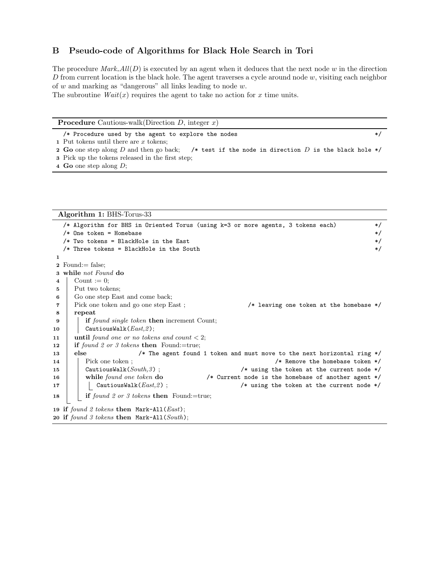## B Pseudo-code of Algorithms for Black Hole Search in Tori

The procedure  $Mark\_All(D)$  is executed by an agent when it deduces that the next node w in the direction  $D$  from current location is the black hole. The agent traverses a cycle around node  $w$ , visiting each neighbor of w and marking as "dangerous" all links leading to node w.

The subroutine  $Wait(x)$  requires the agent to take no action for x time units.

| <b>Procedure</b> Cautious-walk(Direction $D$ , integer $x$ ) |  |
|--------------------------------------------------------------|--|
| /* Procedure used by the agent to explore the nodes          |  |

- 1 Put tokens until there are x tokens;
- 2 Go one step along  $D$  and then go back; /\* test if the node in direction  $D$  is the black hole \*/
- 3 Pick up the tokens released in the first step;
- 4  $Go$  one step along  $D$ ;

### Algorithm 1: BHS-Torus-33

|    | /* Algorithm for BHS in Oriented Torus (using k=3 or more agents, 3 tokens each)  | */      |
|----|-----------------------------------------------------------------------------------|---------|
|    | $/*$ One token = Homebase                                                         | */      |
|    | $/*$ Two tokens = BlackHole in the East                                           | $\ast/$ |
|    | $/*$ Three tokens = BlackHole in the South                                        | $\ast/$ |
| 1  |                                                                                   |         |
|    | <b>2</b> Found: $=$ false;                                                        |         |
|    | 3 while not Found do                                                              |         |
| 4  | Count $:= 0$ ;                                                                    |         |
| 5  | Put two tokens;                                                                   |         |
| 6  | Go one step East and come back;                                                   |         |
| 7  | Pick one token and go one step East;<br>/* leaving one token at the homebase $*/$ |         |
| 8  | repeat                                                                            |         |
| 9  | <b>if</b> found single token <b>then</b> increment Count;                         |         |
| 10 | CautiousWalk( $East, 2$ );                                                        |         |
| 11 | <b>until</b> found one or no tokens and count $\lt 2$ ;                           |         |
| 12 | if found 2 or 3 tokens then Found:=true;                                          |         |
| 13 | else<br>/* The agent found 1 token and must move to the next horizontal ring $*/$ |         |
| 14 | /* Remove the homebase token $*/$<br>Pick one token;                              |         |
| 15 | CautiousWalk( $South, 3)$ ;<br>/* using the token at the current node $*/$        |         |
| 16 | while found one token do<br>/* Current node is the homebase of another agent */   |         |
| 17 | CautiousWalk $(East, 2)$ ;<br>/* using the token at the current node $*/$         |         |
| 18 | if found 2 or 3 tokens then Found:=true;                                          |         |
|    | 19 if found 2 tokens then Mark-All(East);                                         |         |
|    | 20 if found 3 tokens then Mark-All $(South)$ ;                                    |         |
|    |                                                                                   |         |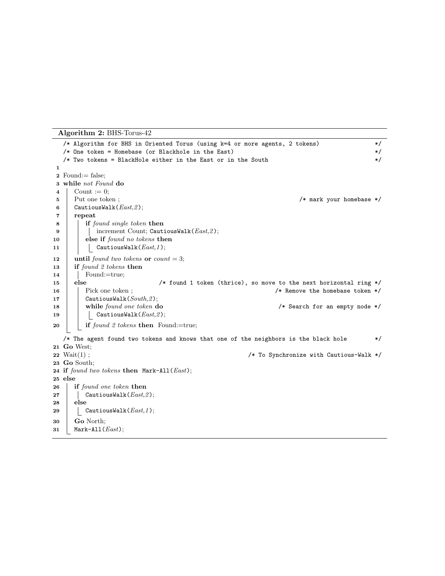### Algorithm 2: BHS-Torus-42

```
/* Algorithm for BHS in Oriented Torus (using k=4 or more agents, 2 tokens) */
  /* One token = Homebase (or Blackhole in the East) */<br>/* Two tokens = BlackHole either in the East or in the South */
  /* Two tokens = BlackHole either in the East or in the South
 1
2 Found:= false;
3 while not Found do
 4 \mid Count := 0;
 5 Put one token; \sqrt{\ast} mark your homebase \ast/
 6 CautiousWalk(East, 2);
 7 repeat
 8 if found single token then
 9 increment Count; CautiousWalk(East, 2);
10 else if found no tokens then
11 | \bigcup CautiousWalk(East, 1);
12 | until found two tokens or count = 3;
13 if found 2 tokens then
14 Found:=true;
15 else /* found 1 token (thrice), so move to the next horizontal ring */
16 Pick one token; \sqrt{*} Remove the homebase token */17 | CautiousWalk(South, 2);
18 while found one token do \prime* Search for an empty node \prime19 | CautiousWalk(East, 2);
20 if found 2 tokens then Found:=true;
  /* The agent found two tokens and knows that one of the neighbors is the black hole */
21 Go West;
22 \text{Wait}(1); \qquad \qquad /* To Synchronize with Cautious-Walk */
23 Go South;
24 if found two tokens then Mark-All(East);25 else
26 if found one token then
27 | CautiousWalk(East, 2);
28 else
29 \Box CautiousWalk(East, 1);
30 Go North;
31 Mark-All(East);
```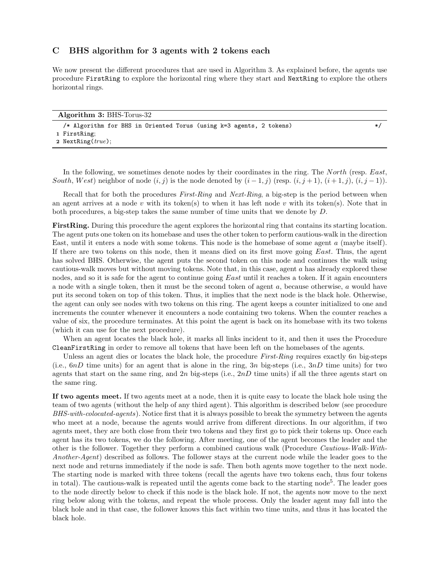## C BHS algorithm for 3 agents with 2 tokens each

We now present the different procedures that are used in Algorithm 3. As explained before, the agents use procedure FirstRing to explore the horizontal ring where they start and NextRing to explore the others horizontal rings.

| <b>Algorithm 3: BHS-Torus-32</b>                                    |  |  |
|---------------------------------------------------------------------|--|--|
| /* Algorithm for BHS in Oriented Torus (using k=3 agents, 2 tokens) |  |  |
| 1 FirstRing;                                                        |  |  |
| 2 NextRing( $true$ );                                               |  |  |

In the following, we sometimes denote nodes by their coordinates in the ring. The North (resp. East, South, West) neighbor of node  $(i, j)$  is the node denoted by  $(i - 1, j)$  (resp.  $(i, j + 1)$ ,  $(i + 1, j)$ ,  $(i, j - 1)$ ).

Recall that for both the procedures First-Ring and Next-Ring, a big-step is the period between when an agent arrives at a node v with its token(s) to when it has left node v with its token(s). Note that in both procedures, a big-step takes the same number of time units that we denote by D.

FirstRing. During this procedure the agent explores the horizontal ring that contains its starting location. The agent puts one token on its homebase and uses the other token to perform cautious-walk in the direction East, until it enters a node with some tokens. This node is the homebase of some agent a (maybe itself). If there are two tokens on this node, then it means died on its first move going East. Thus, the agent has solved BHS. Otherwise, the agent puts the second token on this node and continues the walk using cautious-walk moves but without moving tokens. Note that, in this case, agent  $a$  has already explored these nodes, and so it is safe for the agent to continue going East until it reaches a token. If it again encounters a node with a single token, then it must be the second token of agent  $a$ , because otherwise,  $a$  would have put its second token on top of this token. Thus, it implies that the next node is the black hole. Otherwise, the agent can only see nodes with two tokens on this ring. The agent keeps a counter initialized to one and increments the counter whenever it encounters a node containing two tokens. When the counter reaches a value of six, the procedure terminates. At this point the agent is back on its homebase with its two tokens (which it can use for the next procedure).

When an agent locates the black hole, it marks all links incident to it, and then it uses the Procedure CleanFirstRing in order to remove all tokens that have been left on the homebases of the agents.

Unless an agent dies or locates the black hole, the procedure First-Ring requires exactly 6n big-steps (i.e.,  $6nD$  time units) for an agent that is alone in the ring, 3n big-steps (i.e.,  $3nD$  time units) for two agents that start on the same ring, and  $2n$  big-steps (i.e.,  $2nD$  time units) if all the three agents start on the same ring.

If two agents meet. If two agents meet at a node, then it is quite easy to locate the black hole using the team of two agents (without the help of any third agent). This algorithm is described below (see procedure BHS-with-colocated-agents). Notice first that it is always possible to break the symmetry between the agents who meet at a node, because the agents would arrive from different directions. In our algorithm, if two agents meet, they are both close from their two tokens and they first go to pick their tokens up. Once each agent has its two tokens, we do the following. After meeting, one of the agent becomes the leader and the other is the follower. Together they perform a combined cautious walk (Procedure Cautious-Walk-With-Another-Agent) described as follows. The follower stays at the current node while the leader goes to the next node and returns immediately if the node is safe. Then both agents move together to the next node. The starting node is marked with three tokens (recall the agents have two tokens each, thus four tokens in total). The cautious-walk is repeated until the agents come back to the starting node<sup>5</sup>. The leader goes to the node directly below to check if this node is the black hole. If not, the agents now move to the next ring below along with the tokens, and repeat the whole process. Only the leader agent may fall into the black hole and in that case, the follower knows this fact within two time units, and thus it has located the black hole.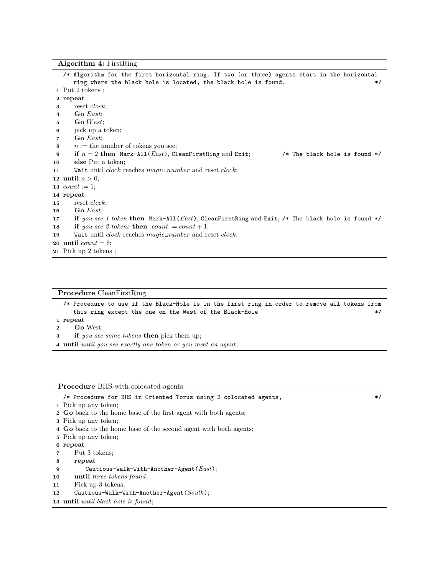## Algorithm 4: FirstRing

|    | /* Algorithm for the first horizontal ring. If two (or three) agents start in the horizontal                                                                                                                                                                                                     |  |
|----|--------------------------------------------------------------------------------------------------------------------------------------------------------------------------------------------------------------------------------------------------------------------------------------------------|--|
|    | ring where the black hole is located, the black hole is found.<br>*/                                                                                                                                                                                                                             |  |
|    | 1 Put 2 tokens;                                                                                                                                                                                                                                                                                  |  |
|    | 2 repeat                                                                                                                                                                                                                                                                                         |  |
| 3  | reset <i>clock</i> ;                                                                                                                                                                                                                                                                             |  |
| 4  | Go East;                                                                                                                                                                                                                                                                                         |  |
| 5  | $Go$ <i>West</i> ;                                                                                                                                                                                                                                                                               |  |
| 6  | pick up a token;                                                                                                                                                                                                                                                                                 |  |
| 7  | Go East;                                                                                                                                                                                                                                                                                         |  |
| 8  | $n :=$ the number of tokens you see;                                                                                                                                                                                                                                                             |  |
| 9  | if $n = 2$ then Mark-All( <i>East</i> ), CleanFirstRing and Exit;<br>/* The black hole is found $*/$                                                                                                                                                                                             |  |
| 10 | else Put a token;                                                                                                                                                                                                                                                                                |  |
| 11 | When which was the state of the state of the state of the state.                                                                                                                                                                                                                                 |  |
|    | 12 until $n > 0$ ;                                                                                                                                                                                                                                                                               |  |
|    | 13 <i>count</i> := 1;                                                                                                                                                                                                                                                                            |  |
|    | 14 repeat                                                                                                                                                                                                                                                                                        |  |
| 15 | reset <i>clock</i> ;                                                                                                                                                                                                                                                                             |  |
| 16 | Go East;                                                                                                                                                                                                                                                                                         |  |
| 17 | if you see 1 token then Mark-All(East); CleanFirstRing and Exit; /* The black hole is found */                                                                                                                                                                                                   |  |
| 18 | if you see 2 tokens then $count := count + 1$ ;                                                                                                                                                                                                                                                  |  |
| 19 | When $\mathbf{W}$ as $\mathbf{W}$ and $\mathbf{W}$ and $\mathbf{W}$ and $\mathbf{W}$ and $\mathbf{W}$ and $\mathbf{W}$ and $\mathbf{W}$ and $\mathbf{W}$ and $\mathbf{W}$ and $\mathbf{W}$ and $\mathbf{W}$ and $\mathbf{W}$ and $\mathbf{W}$ and $\mathbf{W}$ and $\mathbf{W}$ and $\mathbf{W}$ |  |
|    | 20 until <i>count</i> = 6;                                                                                                                                                                                                                                                                       |  |
|    | 21 Pick up 2 tokens;                                                                                                                                                                                                                                                                             |  |

### Procedure CleanFirstRing

/\* Procedure to use if the Black-Hole is in the first ring in order to remove all tokens from this ring except the one on the West of the Black-Hole \*/

repeat

 $2 \mid$  Go West;

- $\mathbf{3}$  if you see some tokens then pick them up;
- until until you see exactly one token or you meet an agent;

### Procedure BHS-with-colocated-agents

/\* Procedure for BHS in Oriented Torus using 2 colocated agents, \*/ Pick up any token;

- Go back to the home base of the first agent with both agents;
- Pick up any token;
- Go back to the home base of the second agent with both agents;
- Pick up any token;
- repeat
- Put 3 tokens;
- repeat
- 9 | Cautious-Walk-With-Another-Agent $(East);$
- 10 until three tokens found;
- Pick up 3 tokens;
- 12 | Cautious-Walk-With-Another-Agent  $(South)$ ;
- until until black hole is found;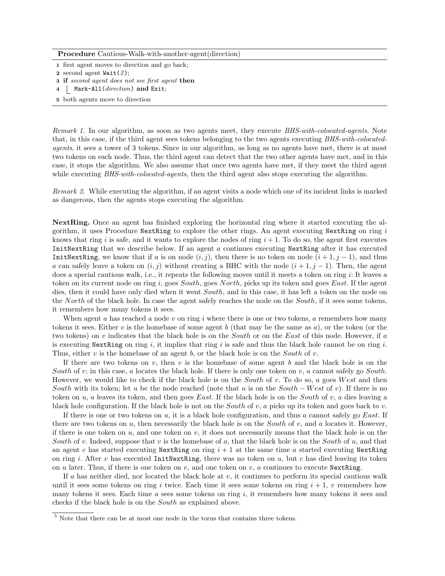#### Procedure Cautious-Walk-with-another-agent(direction)

- 1 first agent moves to direction and go back;
- 2 second agent  $Wait(2);$
- 3 if second agent does not see first agent then
- 4 | Mark-All(direction) and Exit;
- 5 both agents move to direction

Remark 1. In our algorithm, as soon as two agents meet, they execute BHS-with-colocated-agents. Note that, in this case, if the third agent sees tokens belonging to the two agents executing BHS-with-colocatedagents, it sees a tower of 3 tokens. Since in our algorithm, as long as no agents have met, there is at most two tokens on each node. Thus, the third agent can detect that the two other agents have met, and in this case, it stops the algorithm. We also assume that once two agents have met, if they meet the third agent while executing *BHS-with-colocated-agents*, then the third agent also stops executing the algorithm.

Remark 2. While executing the algorithm, if an agent visits a node which one of its incident links is marked as dangerous, then the agents stops executing the algorithm.

NextRing. Once an agent has finished exploring the horizontal ring where it started executing the algorithm, it uses Procedure NextRing to explore the other rings. An agent executing NextRing on ring  $i$ knows that ring i is safe, and it wants to explore the nodes of ring  $i + 1$ . To do so, the agent first executes InitNextRing that we describe below. If an agent a continues executing NextRing after it has executed InitNextRing, we know that if a is on node  $(i, j)$ , then there is no token on node  $(i + 1, j - 1)$ , and thus a can safely leave a token on  $(i, j)$  without creating a BHC with the node  $(i + 1, j - 1)$ . Then, the agent does a special cautious walk, i.e., it repeats the following moves until it meets a token on ring i: It leaves a token on its current node on ring i, goes South, goes North, picks up its token and goes East. If the agent dies, then it could have only died when it went *South*, and in this case, it has left a token on the node on the North of the black hole. In case the agent safely reaches the node on the South, if it sees some tokens, it remembers how many tokens it sees.

When agent a has reached a node v on ring i where there is one or two tokens, a remembers how many tokens it sees. Either v is the homebase of some agent b (that may be the same as  $a$ ), or the token (or the two tokens) on v indicates that the black hole is on the South or on the East of this node. However, if a is executing NextRing on ring i, it implies that ring i is safe and thus the black hole cannot be on ring i. Thus, either v is the homebase of an agent b, or the black hole is on the South of v.

If there are two tokens on  $v$ , then  $v$  is the homebase of some agent  $b$  and the black hole is on the South of v; in this case, a locates the black hole. If there is only one token on v, a cannot safely go South. However, we would like to check if the black hole is on the South of v. To do so, a goes West and then South with its token; let u be the node reached (note that u is on the South – West of v). If there is no token on u, a leaves its token, and then goes East. If the black hole is on the South of v, a dies leaving a black hole configuration. If the black hole is not on the South of v, a picks up its token and goes back to v.

If there is one or two tokens on  $u$ , it is a black hole configuration, and thus a cannot safely go East. If there are two tokens on u, then necessarily the black hole is on the South of v, and a locates it. However, if there is one token on  $u$ , and one token on  $v$ , it does not necessarily means that the black hole is on the South of v. Indeed, suppose that v is the homebase of a, that the black hole is on the South of u, and that an agent c has started executing NextRing on ring  $i + 1$  at the same time a started executing NextRing on ring i. After v has executed InitNextRing, there was no token on  $u$ , but c has died leaving its token on u later. Thus, if there is one token on v, and one token on v, a continues to execute NextRing.

If a has neither died, nor located the black hole at  $v$ , it continues to perform its special cautious walk until it sees some tokens on ring i twice. Each time it sees some tokens on ring  $i + 1$ , v remembers how many tokens it sees. Each time  $a$  sees some tokens on ring  $i$ , it remembers how many tokens it sees and checks if the black hole is on the South as explained above.

 $5$  Note that there can be at most one node in the torus that contains three tokens.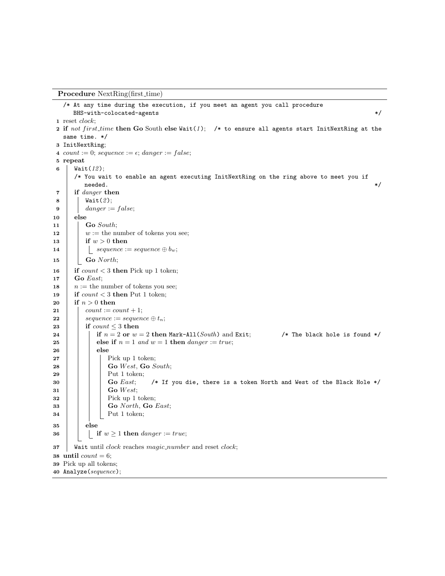Procedure NextRing(first\_time)

|          | /* At any time during the execution, if you meet an agent you call procedure<br>BHS-with-colocated-agents<br>*/ |
|----------|-----------------------------------------------------------------------------------------------------------------|
|          | $1$ reset <i>clock</i> ;                                                                                        |
|          | 2 if not first_time then Go South else Wait(1); /* to ensure all agents start InitNextRing at the               |
|          | same time. $*/$                                                                                                 |
|          | 3 InitNextRing;                                                                                                 |
|          | 4 count := 0; sequence := $\epsilon$ ; danger := false;                                                         |
|          | 5 repeat                                                                                                        |
| 6        | Wait(12);                                                                                                       |
|          | /* You wait to enable an agent executing InitNextRing on the ring above to meet you if                          |
|          | needed.<br>*/                                                                                                   |
| 7        | if <i>danger</i> then                                                                                           |
| 8        | Wait(2);                                                                                                        |
| 9        | $danger := false;$                                                                                              |
| 10       | else                                                                                                            |
| 11       | Go South;                                                                                                       |
| 12       | $w :=$ the number of tokens you see;                                                                            |
| 13       | if $w > 0$ then                                                                                                 |
| 14       | $sequence := sequence \oplus b_w;$                                                                              |
| 15       | <b>Go</b> North;                                                                                                |
| 16       | if count $<$ 3 then Pick up 1 token;                                                                            |
| 17       | $Go$ East;                                                                                                      |
| 18       | $n :=$ the number of tokens you see;                                                                            |
| 19       | if $count < 3$ then Put 1 token;                                                                                |
| 20       | if $n > 0$ then                                                                                                 |
| 21       | $count := count + 1;$                                                                                           |
| 22       | $sequence := sequence \oplus t_n;$<br>if $count \leq 3$ then                                                    |
| 23       | if $n = 2$ or $w = 2$ then Mark-All ( <i>South</i> ) and Exit;<br>/* The black hole is found $*/$               |
| 24<br>25 | else if $n = 1$ and $w = 1$ then danger := true;                                                                |
| 26       | else                                                                                                            |
| 27       | Pick up 1 token;                                                                                                |
| 28       | Go West, Go South;                                                                                              |
| 29       | Put 1 token;                                                                                                    |
| 30       | $Go\, East;$<br>/* If you die, there is a token North and West of the Black Hole */                             |
| 31       | $Go$ West;                                                                                                      |
| 32       | Pick up 1 token;                                                                                                |
| 33       | Go North, Go East;                                                                                              |
| 34       | Put 1 token;                                                                                                    |
| 35       | else                                                                                                            |
| 36       | if $w \geq 1$ then <i>danger</i> := <i>true</i> ;                                                               |
| 37       | Wait until <i>clock</i> reaches <i>magic_number</i> and reset <i>clock</i> ;                                    |
|          | 38 until $count = 6$ ;                                                                                          |
| 39       | Pick up all tokens;                                                                                             |
|          | 40 Analyze(sequence);                                                                                           |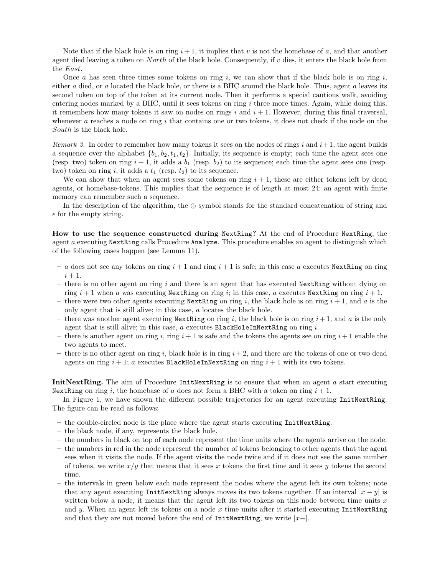Note that if the black hole is on ring  $i + 1$ , it implies that v is not the homebase of a, and that another agent died leaving a token on North of the black hole. Consequently, if  $v$  dies, it enters the black hole from the East.

Once a has seen three times some tokens on ring i, we can show that if the black hole is on ring i, either a died, or a located the black hole, or there is a BHC around the black hole. Thus, agent a leaves its second token on top of the token at its current node. Then it performs a special cautious walk, avoiding entering nodes marked by a BHC, until it sees tokens on ring  $i$  three more times. Again, while doing this, it remembers how many tokens it saw on nodes on rings  $i$  and  $i + 1$ . However, during this final traversal, whenever a reaches a node on ring  $i$  that contains one or two tokens, it does not check if the node on the South is the black hole.

Remark 3. In order to remember how many tokens it sees on the nodes of rings i and  $i+1$ , the agent builds a sequence over the alphabet  $\{b_1, b_2, t_1, t_2\}$ . Initially, its sequence is empty; each time the agent sees one (resp. two) token on ring  $i + 1$ , it adds a  $b_1$  (resp.  $b_2$ ) to its sequence; each time the agent sees one (resp. two) token on ring i, it adds a  $t_1$  (resp.  $t_2$ ) to its sequence.

We can show that when an agent sees some tokens on ring  $i + 1$ , these are either tokens left by dead agents, or homebase-tokens. This implies that the sequence is of length at most 24: an agent with finite memory can remember such a sequence.

In the description of the algorithm, the ⊕ symbol stands for the standard concatenation of string and  $\epsilon$  for the empty string.

How to use the sequence constructed during NextRing? At the end of Procedure NextRing, the agent a executing NextRing calls Procedure Analyze. This procedure enables an agent to distinguish which of the following cases happen (see Lemma 11).

- a does not see any tokens on ring  $i+1$  and ring  $i+1$  is safe; in this case a executes NextRing on ring  $i+1$ .
- there is no other agent on ring  $i$  and there is an agent that has executed NextRing without dying on ring  $i + 1$  when a was executing NextRing on ring i; in this case, a executes NextRing on ring  $i + 1$ .
- there were two other agents executing NextRing on ring i, the black hole is on ring  $i + 1$ , and a is the only agent that is still alive; in this case, a locates the black hole.
- there was another agent executing NextRing on ring i, the black hole is on ring  $i + 1$ , and a is the only agent that is still alive; in this case,  $a$  executes BlackHoleInNextRing on ring  $i$ .
- there is another agent on ring i, ring  $i + 1$  is safe and the tokens the agents see on ring  $i + 1$  enable the two agents to meet.
- there is no other agent on ring i, black hole is in ring  $i + 2$ , and there are the tokens of one or two dead agents on ring  $i + 1$ ; a executes BlackHoleInNextRing on ring  $i + 1$  with its two tokens.

InitNextRing. The aim of Procedure InitNextRing is to ensure that when an agent a start executing NextRing on ring i, the homebase of a does not form a BHC with a token on ring  $i + 1$ .

In Figure 1, we have shown the different possible trajectories for an agent executing InitNextRing. The figure can be read as follows:

- the double-circled node is the place where the agent starts executing InitNextRing.
- the black node, if any, represents the black hole.
- the numbers in black on top of each node represent the time units where the agents arrive on the node.
- the numbers in red in the node represent the number of tokens belonging to other agents that the agent sees when it visits the node. If the agent visits the node twice and if it does not see the same number of tokens, we write  $x/y$  that means that it sees x tokens the first time and it sees y tokens the second time.
- the intervals in green below each node represent the nodes where the agent left its own tokens; note that any agent executing InitNextRing always moves its two tokens together. If an interval  $[x - y]$  is written below a node, it means that the agent left its two tokens on this node between time units  $x$ and y. When an agent left its tokens on a node  $x$  time units after it started executing InitNextRing and that they are not moved before the end of InitNextRing, we write  $[x-]$ .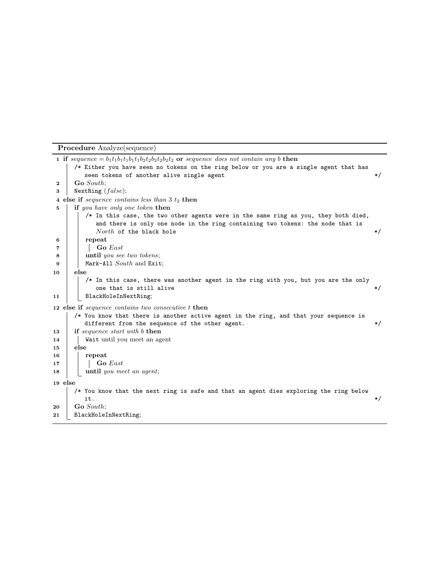## Procedure Analyze(sequence)

|          | <b>1 if</b> sequence $= b_1 t_1 b_1 t_1 b_1 t_1 b_2 t_2 b_2 t_2 b_2 t_2$ or sequence does not contain any b then |         |
|----------|------------------------------------------------------------------------------------------------------------------|---------|
|          | /* Either you have seen no tokens on the ring below or you are a single agent that has                           |         |
|          | seen tokens of another alive single agent                                                                        | $\ast/$ |
| $\bf{2}$ | Go South:                                                                                                        |         |
| 3        | NextRing $(false)$ ;                                                                                             |         |
|          | 4 else if <i>sequence contains less than</i> $3 t_2$ then                                                        |         |
| 5        | if you have only one token then                                                                                  |         |
|          | /* In this case, the two other agents were in the same ring as you, they both died,                              |         |
|          | and there is only one node in the ring containing two tokens: the node that is                                   |         |
|          | <i>North</i> of the black hole                                                                                   | */      |
| 6        | repeat                                                                                                           |         |
| 7        | Go East                                                                                                          |         |
| 8        | until you see two tokens;                                                                                        |         |
| 9        | Mark-All South and Exit;                                                                                         |         |
| 10       | else                                                                                                             |         |
|          | /* In this case, there was another agent in the ring with you, but you are the only                              |         |
|          | one that is still alive                                                                                          | */      |
| 11       | BlackHoleInNextRing;                                                                                             |         |
|          | 12 else if <i>sequence contains two consecutive t</i> then                                                       |         |
|          | /* You know that there is another active agent in the ring, and that your sequence is                            |         |
|          | different from the sequence of the other agent.                                                                  | */      |
| 13       | <b>if</b> sequence start with b then                                                                             |         |
| 14       | Wait until you meet an agent                                                                                     |         |
| 15       | else                                                                                                             |         |
| 16       | repeat                                                                                                           |         |
| 17       | Go East                                                                                                          |         |
| 18       | until you meet an agent;                                                                                         |         |
| 19 else  |                                                                                                                  |         |
|          | /* You know that the next ring is safe and that an agent dies exploring the ring below                           |         |
|          | it.                                                                                                              | */      |
| 20       | Go South;                                                                                                        |         |
| 21       | BlackHoleInNextRing;                                                                                             |         |
|          |                                                                                                                  |         |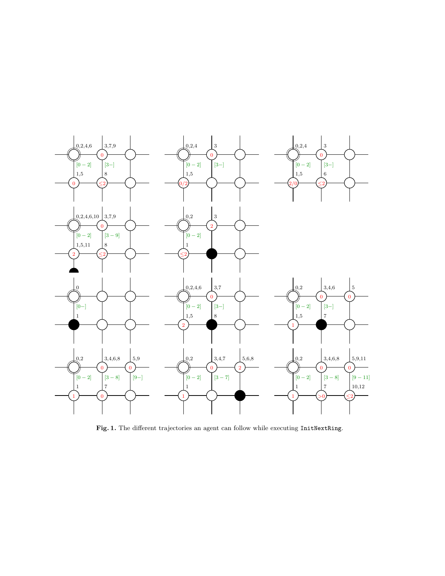

Fig. 1. The different trajectories an agent can follow while executing InitNextRing.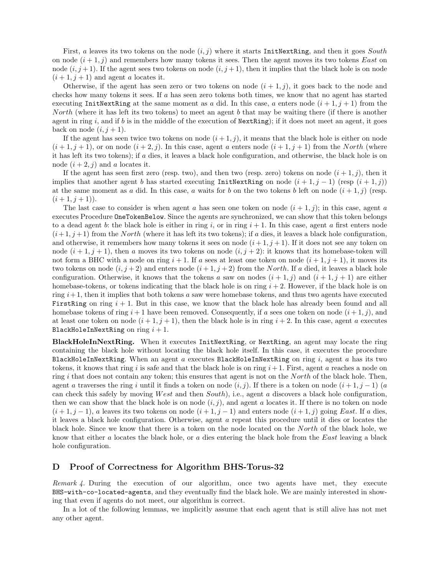First, a leaves its two tokens on the node  $(i, j)$  where it starts InitNextRing, and then it goes South on node  $(i + 1, j)$  and remembers how many tokens it sees. Then the agent moves its two tokens East on node  $(i, j + 1)$ . If the agent sees two tokens on node  $(i, j + 1)$ , then it implies that the black hole is on node  $(i+1, j+1)$  and agent a locates it.

Otherwise, if the agent has seen zero or two tokens on node  $(i + 1, j)$ , it goes back to the node and checks how many tokens it sees. If a has seen zero tokens both times, we know that no agent has started executing InitNextRing at the same moment as a did. In this case, a enters node  $(i + 1, j + 1)$  from the *North* (where it has left its two tokens) to meet an agent b that may be waiting there (if there is another agent in ring i, and if b is in the middle of the execution of  $NextRing$ ; if it does not meet an agent, it goes back on node  $(i, j + 1)$ .

If the agent has seen twice two tokens on node  $(i+1, j)$ , it means that the black hole is either on node  $(i+1, j+1)$ , or on node  $(i+2, j)$ . In this case, agent a enters node  $(i+1, j+1)$  from the North (where it has left its two tokens); if a dies, it leaves a black hole configuration, and otherwise, the black hole is on node  $(i+2, j)$  and a locates it.

If the agent has seen first zero (resp. two), and then two (resp. zero) tokens on node  $(i + 1, j)$ , then it implies that another agent b has started executing InitNextRing on node  $(i + 1, j - 1)$  (resp  $(i + 1, j)$ ) at the same moment as a did. In this case, a waits for b on the two tokens b left on node  $(i + 1, j)$  (resp.  $(i+1, j+1)$ .

The last case to consider is when agent a has seen one token on node  $(i + 1, j)$ ; in this case, agent a executes Procedure OneTokenBelow. Since the agents are synchronized, we can show that this token belongs to a dead agent b: the black hole is either in ring i, or in ring  $i + 1$ . In this case, agent a first enters node  $(i+1, j+1)$  from the North (where it has left its two tokens); if a dies, it leaves a black hole configuration, and otherwise, it remembers how many tokens it sees on node  $(i+1, j+1)$ . If it does not see any token on node  $(i + 1, j + 1)$ , then a moves its two tokens on node  $(i, j + 2)$ : it knows that its homebase-token will not form a BHC with a node on ring  $i + 1$ . If a sees at least one token on node  $(i + 1, j + 1)$ , it moves its two tokens on node  $(i, j + 2)$  and enters node  $(i + 1, j + 2)$  from the North. If a died, it leaves a black hole configuration. Otherwise, it knows that the tokens a saw on nodes  $(i + 1, j)$  and  $(i + 1, j + 1)$  are either homebase-tokens, or tokens indicating that the black hole is on ring  $i + 2$ . However, if the black hole is on ring  $i+1$ , then it implies that both tokens a saw were homebase tokens, and thus two agents have executed FirstRing on ring  $i + 1$ . But in this case, we know that the black hole has already been found and all homebase tokens of ring  $i+1$  have been removed. Consequently, if a sees one token on node  $(i+1, j)$ , and at least one token on node  $(i + 1, j + 1)$ , then the black hole is in ring  $i + 2$ . In this case, agent a executes BlackHoleInNextRing on ring  $i + 1$ .

BlackHoleInNextRing. When it executes InitNextRing, or NextRing, an agent may locate the ring containing the black hole without locating the black hole itself. In this case, it executes the procedure BlackHoleInNextRing. When an agent  $a$  executes BlackHoleInNextRing on ring  $i$ , agent  $a$  has its two tokens, it knows that ring i is safe and that the black hole is on ring  $i+1$ . First, agent a reaches a node on ring  $i$  that does not contain any token; this ensures that agent is not on the North of the black hole. Then, agent a traverses the ring i until it finds a token on node  $(i, j)$ . If there is a token on node  $(i + 1, j - 1)$  (a can check this safely by moving West and then South), i.e., agent a discovers a black hole configuration, then we can show that the black hole is on node  $(i, j)$ , and agent a locates it. If there is no token on node  $(i+1, j-1)$ , a leaves its two tokens on node  $(i+1, j-1)$  and enters node  $(i+1, j)$  going East. If a dies, it leaves a black hole configuration. Otherwise, agent a repeat this procedure until it dies or locates the black hole. Since we know that there is a token on the node located on the North of the black hole, we know that either a locates the black hole, or a dies entering the black hole from the East leaving a black hole configuration.

### D Proof of Correctness for Algorithm BHS-Torus-32

Remark 4. During the execution of our algorithm, once two agents have met, they execute BHS-with-co-located-agents, and they eventually find the black hole. We are mainly interested in showing that even if agents do not meet, our algorithm is correct.

In a lot of the following lemmas, we implicitly assume that each agent that is still alive has not met any other agent.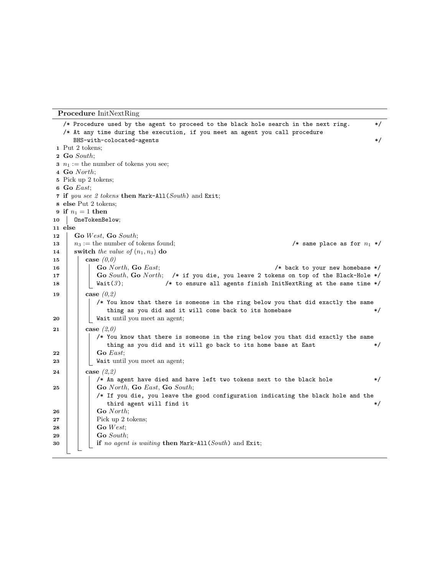Procedure InitNextRing

|    | /* Procedure used by the agent to proceed to the black hole search in the next ring.<br>*/<br>/* At any time during the execution, if you meet an agent you call procedure<br>*/<br>BHS-with-colocated-agents |
|----|---------------------------------------------------------------------------------------------------------------------------------------------------------------------------------------------------------------|
|    | 1 Put 2 tokens;                                                                                                                                                                                               |
|    | $2$ Go South;                                                                                                                                                                                                 |
|    | <b>3</b> $n_1 :=$ the number of tokens you see;                                                                                                                                                               |
|    | 4 Go North;                                                                                                                                                                                                   |
|    | 5 Pick up 2 tokens;                                                                                                                                                                                           |
|    | $6$ Go East;                                                                                                                                                                                                  |
|    | 7 if you see 2 tokens then Mark-All (South) and Exit;                                                                                                                                                         |
|    | 8 else Put 2 tokens;                                                                                                                                                                                          |
|    | 9 if $n_1 = 1$ then                                                                                                                                                                                           |
| 10 | OneTokenBelow;                                                                                                                                                                                                |
|    | 11 else                                                                                                                                                                                                       |
| 12 | Go West, Go South;                                                                                                                                                                                            |
| 13 | $n_3 :=$ the number of tokens found;<br>/* same place as for $n_1$ */                                                                                                                                         |
| 14 | switch the value of $(n_1, n_3)$ do                                                                                                                                                                           |
| 15 | case $(0,0)$                                                                                                                                                                                                  |
| 16 | Go North, Go East;<br>/* back to your new homebase */                                                                                                                                                         |
| 17 | Go South, Go North;<br>/* if you die, you leave 2 tokens on top of the Black-Hole $*/$                                                                                                                        |
| 18 | $\texttt{Wait}(\mathcal{Y});$<br>/* to ensure all agents finish InitNextRing at the same time */                                                                                                              |
| 19 | case $(0,2)$                                                                                                                                                                                                  |
|    | /* You know that there is someone in the ring below you that did exactly the same                                                                                                                             |
|    | thing as you did and it will come back to its homebase<br>*/                                                                                                                                                  |
| 20 | Wait until you meet an agent;                                                                                                                                                                                 |
| 21 | case $(2,0)$                                                                                                                                                                                                  |
|    | /* You know that there is someone in the ring below you that did exactly the same                                                                                                                             |
|    | thing as you did and it will go back to its home base at East<br>*/                                                                                                                                           |
| 22 | $Go$ East;                                                                                                                                                                                                    |
| 23 | Wait until you meet an agent;                                                                                                                                                                                 |
| 24 | case $(2,2)$                                                                                                                                                                                                  |
|    | /* An agent have died and have left two tokens next to the black hole<br>*/                                                                                                                                   |
| 25 | Go North, Go East, Go South;                                                                                                                                                                                  |
|    | /* If you die, you leave the good configuration indicating the black hole and the                                                                                                                             |
|    | third agent will find it<br>*/                                                                                                                                                                                |
| 26 | $Go$ North;                                                                                                                                                                                                   |
| 27 | Pick up 2 tokens;                                                                                                                                                                                             |
| 28 | $Go$ <i>West</i> ;                                                                                                                                                                                            |
| 29 | Go South;                                                                                                                                                                                                     |
| 30 | if no agent is waiting then Mark-All $(South)$ and Exit;                                                                                                                                                      |
|    |                                                                                                                                                                                                               |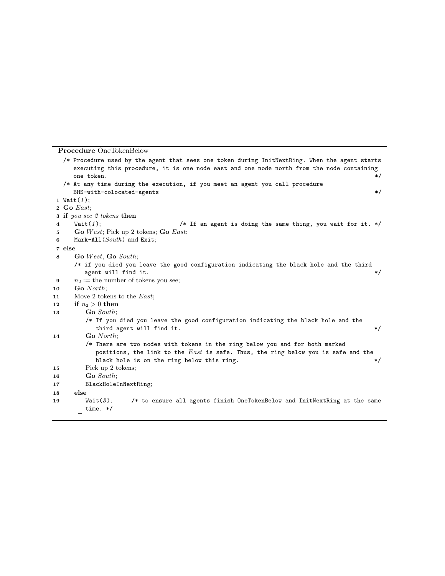| Procedure OneTokenBelow                                                                                                               |
|---------------------------------------------------------------------------------------------------------------------------------------|
| /* Procedure used by the agent that sees one token during InitNextRing. When the agent starts                                         |
| executing this procedure, it is one node east and one node north from the node containing<br>one token.<br>*/                         |
| /* At any time during the execution, if you meet an agent you call procedure                                                          |
| BHS-with-colocated-agents<br>*/                                                                                                       |
| 1 Wait $(1)$ :                                                                                                                        |
| $2$ Go East;                                                                                                                          |
| <b>3</b> if you see 2 tokens then                                                                                                     |
| Wait(1);<br>/* If an agent is doing the same thing, you wait for it. $*/$<br>$\overline{4}$                                           |
| Go <i>West</i> ; Pick up 2 tokens; Go <i>East</i> ;<br>5                                                                              |
| Mark-All $(South)$ and Exit;<br>6                                                                                                     |
| 7 else                                                                                                                                |
| $Go$ West, $Go$ South;<br>8                                                                                                           |
| /* if you died you leave the good configuration indicating the black hole and the third<br>agent will find it.<br>*/                  |
| $n_2 :=$ the number of tokens you see;<br>9                                                                                           |
| Go North;<br>10                                                                                                                       |
| Move 2 tokens to the East;<br>11                                                                                                      |
| if $n_2 > 0$ then<br>12                                                                                                               |
| Go South:<br>13                                                                                                                       |
| /* If you died you leave the good configuration indicating the black hole and the                                                     |
| third agent will find it.<br>$\ast/$                                                                                                  |
| Go North:<br>14                                                                                                                       |
| /* There are two nodes with tokens in the ring below you and for both marked                                                          |
| positions, the link to the East is safe. Thus, the ring below you is safe and the<br>black hole is on the ring below this ring.<br>*/ |
| Pick up 2 tokens;<br>15                                                                                                               |
| Go South;<br>16                                                                                                                       |
| BlackHoleInNextRing;<br>17                                                                                                            |
| else<br>18                                                                                                                            |
| /* to ensure all agents finish OneTokenBelow and InitNextRing at the same<br>Wait(3);<br>19                                           |
| time. $*/$                                                                                                                            |
|                                                                                                                                       |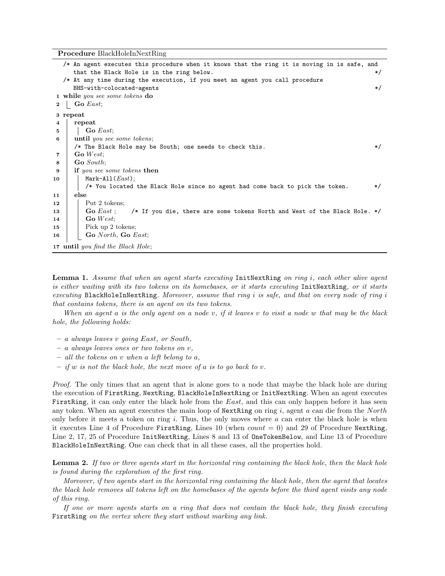Procedure BlackHoleInNextRing

|          | /* An agent executes this procedure when it knows that the ring it is moving in is safe, and |         |
|----------|----------------------------------------------------------------------------------------------|---------|
|          | that the Black Hole is in the ring below.                                                    | $\ast/$ |
|          | /* At any time during the execution, if you meet an agent you call procedure                 |         |
|          | BHS-with-colocated-agents                                                                    | $\ast/$ |
|          | 1 while you see some tokens do                                                               |         |
| $\bf{2}$ | Go East;                                                                                     |         |
|          | 3 repeat                                                                                     |         |
| 4        | repeat                                                                                       |         |
| 5        | $Go$ East;                                                                                   |         |
| 6        | <b>until</b> you see some tokens;                                                            |         |
|          | /* The Black Hole may be South; one needs to check this.                                     | $\ast/$ |
| 7        | $Go$ <i>West</i> ;                                                                           |         |
| 8        | Go South;                                                                                    |         |
| 9        | <b>if</b> you see some tokens <b>then</b>                                                    |         |
| 10       | $\texttt{Mark-All}(East);$                                                                   |         |
|          | /* You located the Black Hole since no agent had come back to pick the token.                | $\ast/$ |
| 11       | else                                                                                         |         |
| 12       | Put 2 tokens;                                                                                |         |
| 13       | $Go\, East:$<br>/* If you die, there are some tokens North and West of the Black Hole. */    |         |
| 14       | $Go$ <i>West</i> ;                                                                           |         |
| 15       | Pick up 2 tokens;                                                                            |         |
| 16       | Go North, Go East;                                                                           |         |
|          | 17 until you find the Black Hole;                                                            |         |

Lemma 1. Assume that when an agent starts executing InitNextRing on ring i, each other alive agent is either waiting with its two tokens on its homebases, or it starts executing InitNextRing, or it starts executing BlackHoleInNextRing. Moreover, assume that ring  $i$  is safe, and that on every node of ring  $i$ that contains tokens, there is an agent on its two tokens.

When an agent a is the only agent on a node v, if it leaves v to visit a node w that may be the black hole, the following holds:

- a always leaves v going East, or South,
- a always leaves ones or two tokens on v,
- all the tokens on v when a left belong to a,
- $-$  if w is not the black hole, the next move of a is to go back to v.

Proof. The only times that an agent that is alone goes to a node that maybe the black hole are during the execution of FirstRing, NextRing, BlackHoleInNextRing or InitNextRing. When an agent executes FirstRing, it can only enter the black hole from the East, and this can only happen before it has seen any token. When an agent executes the main loop of NextRing on ring i, agent a can die from the North only before it meets a token on ring  $i$ . Thus, the only moves where  $a$  can enter the black hole is when it executes Line 4 of Procedure FirstRing, Lines 10 (when  $count = 0$ ) and 29 of Procedure NextRing, Line 2, 17, 25 of Procedure InitNextRing, Lines 8 and 13 of OneTokenBelow, and Line 13 of Procedure BlackHoleInNextRing. One can check that in all these cases, all the properties hold.

Lemma 2. If two or three agents start in the horizontal ring containing the black hole, then the black hole is found during the exploration of the first ring.

Moreover, if two agents start in the horizontal ring containing the black hole, then the agent that locates the black hole removes all tokens left on the homebases of the agents before the third agent visits any node of this ring.

If one or more agents starts on a ring that does not contain the black hole, they finish executing FirstRing on the vertex where they start without marking any link.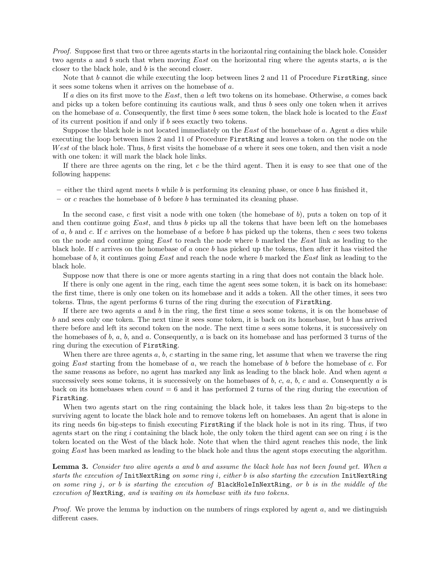Proof. Suppose first that two or three agents starts in the horizontal ring containing the black hole. Consider two agents a and b such that when moving East on the horizontal ring where the agents starts, a is the closer to the black hole, and b is the second closer.

Note that b cannot die while executing the loop between lines 2 and 11 of Procedure FirstRing, since it sees some tokens when it arrives on the homebase of a.

If a dies on its first move to the East, then a left two tokens on its homebase. Otherwise, a comes back and picks up a token before continuing its cautious walk, and thus b sees only one token when it arrives on the homebase of a. Consequently, the first time b sees some token, the black hole is located to the East of its current position if and only if b sees exactly two tokens.

Suppose the black hole is not located immediately on the East of the homebase of a. Agent a dies while executing the loop between lines 2 and 11 of Procedure FirstRing and leaves a token on the node on the West of the black hole. Thus, b first visits the homebase of a where it sees one token, and then visit a node with one token: it will mark the black hole links.

If there are three agents on the ring, let c be the third agent. Then it is easy to see that one of the following happens:

– either the third agent meets b while b is performing its cleaning phase, or once b has finished it,

– or c reaches the homebase of  $b$  before  $b$  has terminated its cleaning phase.

In the second case, c first visit a node with one token (the homebase of  $b$ ), puts a token on top of it and then continue going East, and thus  $b$  picks up all the tokens that have been left on the homebases of a, b and c. If c arrives on the homebase of a before b has picked up the tokens, then c sees two tokens on the node and continue going East to reach the node where b marked the East link as leading to the black hole. If c arrives on the homebase of a once b has picked up the tokens, then after it has visited the homebase of b, it continues going East and reach the node where b marked the East link as leading to the black hole.

Suppose now that there is one or more agents starting in a ring that does not contain the black hole.

If there is only one agent in the ring, each time the agent sees some token, it is back on its homebase: the first time, there is only one token on its homebase and it adds a token. All the other times, it sees two tokens. Thus, the agent performs 6 turns of the ring during the execution of FirstRing.

If there are two agents a and b in the ring, the first time a sees some tokens, it is on the homebase of b and sees only one token. The next time it sees some token, it is back on its homebase, but b has arrived there before and left its second token on the node. The next time a sees some tokens, it is successively on the homebases of b, a, b, and a. Consequently, a is back on its homebase and has performed 3 turns of the ring during the execution of FirstRing.

When there are three agents  $a, b, c$  starting in the same ring, let assume that when we traverse the ring going East starting from the homebase of  $a$ , we reach the homebase of  $b$  before the homebase of  $c$ . For the same reasons as before, no agent has marked any link as leading to the black hole. And when agent a successively sees some tokens, it is successively on the homebases of  $b, c, a, b, c$  and a. Consequently a is back on its homebases when  $count = 6$  and it has performed 2 turns of the ring during the execution of FirstRing.

When two agents start on the ring containing the black hole, it takes less than  $2n$  big-steps to the surviving agent to locate the black hole and to remove tokens left on homebases. An agent that is alone in its ring needs 6n big-steps to finish executing FirstRing if the black hole is not in its ring. Thus, if two agents start on the ring i containing the black hole, the only token the third agent can see on ring i is the token located on the West of the black hole. Note that when the third agent reaches this node, the link going East has been marked as leading to the black hole and thus the agent stops executing the algorithm.

Lemma 3. Consider two alive agents a and b and assume the black hole has not been found yet. When a starts the execution of InitNextRing on some ring i, either b is also starting the execution InitNextRing on some ring  $j$ , or  $b$  is starting the execution of BlackHoleInNextRing, or  $b$  is in the middle of the execution of NextRing, and is waiting on its homebase with its two tokens.

Proof. We prove the lemma by induction on the numbers of rings explored by agent a, and we distinguish different cases.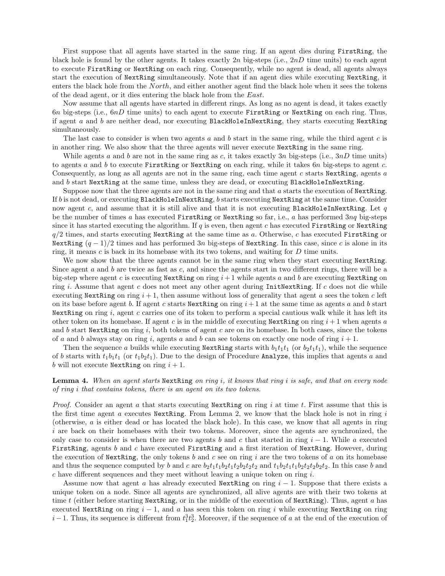First suppose that all agents have started in the same ring. If an agent dies during FirstRing, the black hole is found by the other agents. It takes exactly  $2n$  big-steps (i.e.,  $2nD$  time units) to each agent to execute FirstRing or NextRing on each ring. Consequently, while no agent is dead, all agents always start the execution of NextRing simultaneously. Note that if an agent dies while executing NextRing, it enters the black hole from the *North*, and either another agent find the black hole when it sees the tokens of the dead agent, or it dies entering the black hole from the East.

Now assume that all agents have started in different rings. As long as no agent is dead, it takes exactly 6n big-steps (i.e., 6nD time units) to each agent to execute FirstRing or NextRing on each ring. Thus, if agent  $a$  and  $b$  are neither dead, nor executing BlackHoleInNextRing, they starts executing NextRing simultaneously.

The last case to consider is when two agents  $a$  and  $b$  start in the same ring, while the third agent  $c$  is in another ring. We also show that the three agents will never execute NextRing in the same ring.

While agents a and b are not in the same ring as c, it takes exactly 3n big-steps (i.e.,  $3nD$  time units) to agents a and b to execute FirstRing or NextRing on each ring, while it takes 6n big-steps to agent c. Consequently, as long as all agents are not in the same ring, each time agent  $c$  starts NextRing, agents  $a$ and b start NextRing at the same time, unless they are dead, or executing BlackHoleInNextRing.

Suppose now that the three agents are not in the same ring and that  $a$  starts the execution of NextRing. If b is not dead, or executing BlackHoleInNextRing, b starts executing NextRing at the same time. Consider now agent c, and assume that it is still alive and that it is not executing BlackHoleInNextRing. Let  $q$ be the number of times a has executed FirstRing or NextRing so far, i.e., a has performed  $3nq$  big-steps since it has started executing the algorithm. If  $q$  is even, then agent c has executed FirstRing or NextRing  $q/2$  times, and starts executing NextRing at the same time as a. Otherwise, c has executed FirstRing or NextRing  $(q-1)/2$  times and has performed 3n big-steps of NextRing. In this case, since c is alone in its ring, it means  $c$  is back in its homebase with its two tokens, and waiting for  $D$  time units.

We now show that the three agents cannot be in the same ring when they start executing NextRing. Since agent  $a$  and  $b$  are twice as fast as  $c$ , and since the agents start in two different rings, there will be a big-step where agent c is executing NextRing on ring  $i+1$  while agents a and b are executing NextRing on ring i. Assume that agent c does not meet any other agent during InitNextRing. If c does not die while executing NextRing on ring  $i + 1$ , then assume without loss of generality that agent a sees the token c left on its base before agent b. If agent c starts NextRing on ring  $i+1$  at the same time as agents a and b start NextRing on ring i, agent c carries one of its token to perform a special cautious walk while it has left its other token on its homebase. If agent c is in the middle of executing NextRing on ring  $i + 1$  when agents a and b start NextRing on ring i, both tokens of agent c are on its homebase. In both cases, since the tokens of a and b always stay on ring i, agents a and b can see tokens on exactly one node of ring  $i + 1$ .

Then the sequence a builds while executing NextRing starts with  $b_1t_1t_1$  (or  $b_2t_1t_1$ ), while the sequence of b starts with  $t_1b_1t_1$  (or  $t_1b_2t_1$ ). Due to the design of Procedure Analyze, this implies that agents a and b will not execute NextRing on ring  $i + 1$ .

Lemma 4. When an agent starts NextRing on ring i, it knows that ring i is safe, and that on every node of ring i that contains tokens, there is an agent on its two tokens.

*Proof.* Consider an agent a that starts executing NextRing on ring i at time t. First assume that this is the first time agent a executes NextRing. From Lemma 2, we know that the black hole is not in ring  $i$ (otherwise, a is either dead or has located the black hole). In this case, we know that all agents in ring i are back on their homebases with their two tokens. Moreover, since the agents are synchronized, the only case to consider is when there are two agents b and c that started in ring  $i - 1$ . While a executed FirstRing, agents b and c have executed FirstRing and a first iteration of NextRing. However, during the execution of NextRing, the only tokens b and c see on ring i are the two tokens of a on its homebase and thus the sequence computed by b and c are  $b_2t_1t_1b_2t_1t_2b_2t_2t_2$  and  $t_1b_2t_1t_1b_2t_2t_2b_2t_2$ . In this case b and  $c$  have different sequences and they meet without leaving a unique token on ring  $i$ .

Assume now that agent a has already executed NextRing on ring  $i - 1$ . Suppose that there exists a unique token on a node. Since all agents are synchronized, all alive agents are with their two tokens at time t (either before starting NextRing, or in the middle of the execution of NextRing). Thus, agent a has executed NextRing on ring  $i - 1$ , and a has seen this token on ring i while executing NextRing on ring  $i-1$ . Thus, its sequence is different from  $t_1^3 t_2^3$ . Moreover, if the sequence of a at the end of the execution of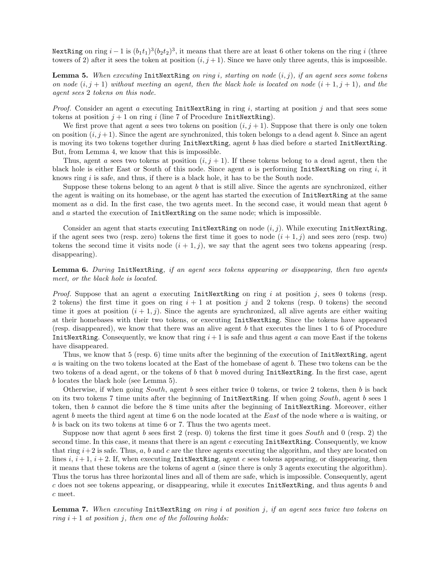NextRing on ring  $i-1$  is  $(b_1t_1)^3(b_2t_2)^3$ , it means that there are at least 6 other tokens on the ring  $i$  (three towers of 2) after it sees the token at position  $(i, j + 1)$ . Since we have only three agents, this is impossible.

**Lemma 5.** When executing InitNextRing on ring i, starting on node  $(i, j)$ , if an agent sees some tokens on node  $(i, j + 1)$  without meeting an agent, then the black hole is located on node  $(i + 1, j + 1)$ , and the agent sees 2 tokens on this node.

*Proof.* Consider an agent a executing InitNextRing in ring i, starting at position j and that sees some tokens at position  $j + 1$  on ring i (line 7 of Procedure InitNextRing).

We first prove that agent a sees two tokens on position  $(i, j + 1)$ . Suppose that there is only one token on position  $(i, j + 1)$ . Since the agent are synchronized, this token belongs to a dead agent b. Since an agent is moving its two tokens together during InitNextRing, agent b has died before a started InitNextRing. But, from Lemma 4, we know that this is impossible.

Thus, agent a sees two tokens at position  $(i, j + 1)$ . If these tokens belong to a dead agent, then the black hole is either East or South of this node. Since agent  $a$  is performing InitNextRing on ring  $i$ , it knows ring  $i$  is safe, and thus, if there is a black hole, it has to be the South node.

Suppose these tokens belong to an agent b that is still alive. Since the agents are synchronized, either the agent is waiting on its homebase, or the agent has started the execution of InitNextRing at the same moment as  $a$  did. In the first case, the two agents meet. In the second case, it would mean that agent  $b$ and a started the execution of InitNextRing on the same node; which is impossible.

Consider an agent that starts executing InitNextRing on node  $(i, j)$ . While executing InitNextRing, if the agent sees two (resp. zero) tokens the first time it goes to node  $(i + 1, j)$  and sees zero (resp. two) tokens the second time it visits node  $(i + 1, j)$ , we say that the agent sees two tokens appearing (resp. disappearing).

Lemma 6. During InitNextRing, if an agent sees tokens appearing or disappearing, then two agents meet, or the black hole is located.

*Proof.* Suppose that an agent a executing InitNextRing on ring i at position j, sees 0 tokens (resp. 2 tokens) the first time it goes on ring  $i + 1$  at position j and 2 tokens (resp. 0 tokens) the second time it goes at position  $(i + 1, j)$ . Since the agents are synchronized, all alive agents are either waiting at their homebases with their two tokens, or executing InitNextRing. Since the tokens have appeared (resp. disappeared), we know that there was an alive agent b that executes the lines 1 to 6 of Procedure InitNextRing. Consequently, we know that ring  $i+1$  is safe and thus agent a can move East if the tokens have disappeared.

Thus, we know that 5 (resp. 6) time units after the beginning of the execution of InitNextRing, agent a is waiting on the two tokens located at the East of the homebase of agent b. These two tokens can be the two tokens of a dead agent, or the tokens of b that b moved during InitNextRing. In the first case, agent b locates the black hole (see Lemma 5).

Otherwise, if when going South, agent b sees either twice 0 tokens, or twice 2 tokens, then b is back on its two tokens 7 time units after the beginning of InitNextRing. If when going South, agent b sees 1 token, then b cannot die before the 8 time units after the beginning of InitNextRing. Moreover, either agent b meets the third agent at time 6 on the node located at the East of the node where a is waiting, or b is back on its two tokens at time 6 or 7. Thus the two agents meet.

Suppose now that agent b sees first  $2$  (resp. 0) tokens the first time it goes South and 0 (resp. 2) the second time. In this case, it means that there is an agent c executing InitNextRing. Consequently, we know that ring  $i+2$  is safe. Thus, a, b and c are the three agents executing the algorithm, and they are located on lines i,  $i + 1$ ,  $i + 2$ . If, when executing InitNextRing, agent c sees tokens appearing, or disappearing, then it means that these tokens are the tokens of agent a (since there is only 3 agents executing the algorithm). Thus the torus has three horizontal lines and all of them are safe, which is impossible. Consequently, agent c does not see tokens appearing, or disappearing, while it executes InitNextRing, and thus agents b and c meet.

**Lemma 7.** When executing InitNextRing on ring  $i$  at position  $j$ , if an agent sees twice two tokens on ring  $i+1$  at position j, then one of the following holds: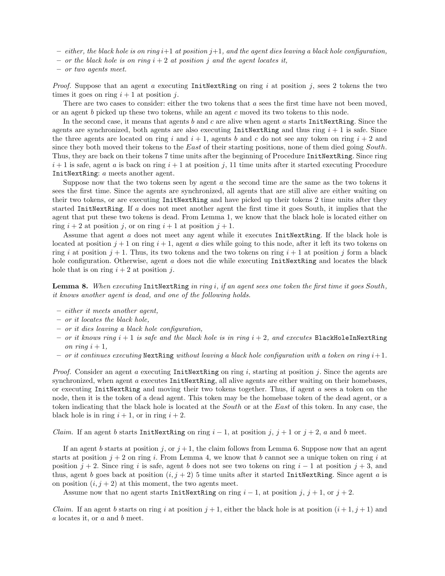- $-$  either, the black hole is on ring i+1 at position j+1, and the agent dies leaving a black hole configuration,
- or the black hole is on ring  $i + 2$  at position j and the agent locates it,
- or two agents meet.

*Proof.* Suppose that an agent a executing InitNextRing on ring i at position j, sees 2 tokens the two times it goes on ring  $i + 1$  at position j.

There are two cases to consider: either the two tokens that a sees the first time have not been moved, or an agent  $b$  picked up these two tokens, while an agent  $c$  moved its two tokens to this node.

In the second case, it means that agents b and c are alive when agent a starts InitNextRing. Since the agents are synchronized, both agents are also executing InitNextRing and thus ring  $i + 1$  is safe. Since the three agents are located on ring i and  $i + 1$ , agents b and c do not see any token on ring  $i + 2$  and since they both moved their tokens to the East of their starting positions, none of them died going South. Thus, they are back on their tokens 7 time units after the beginning of Procedure InitNextRing. Since ring  $i+1$  is safe, agent a is back on ring  $i+1$  at position j, 11 time units after it started executing Procedure InitNextRing: a meets another agent.

Suppose now that the two tokens seen by agent a the second time are the same as the two tokens it sees the first time. Since the agents are synchronized, all agents that are still alive are either waiting on their two tokens, or are executing InitNextRing and have picked up their tokens 2 time units after they started InitNextRing. If a does not meet another agent the first time it goes South, it implies that the agent that put these two tokens is dead. From Lemma 1, we know that the black hole is located either on ring  $i + 2$  at position j, or on ring  $i + 1$  at position  $j + 1$ .

Assume that agent a does not meet any agent while it executes InitNextRing. If the black hole is located at position  $j + 1$  on ring  $i + 1$ , agent a dies while going to this node, after it left its two tokens on ring i at position  $j + 1$ . Thus, its two tokens and the two tokens on ring  $i + 1$  at position j form a black hole configuration. Otherwise, agent a does not die while executing InitNextRing and locates the black hole that is on ring  $i + 2$  at position j.

**Lemma 8.** When executing InitNextRing in ring i, if an agent sees one token the first time it goes South, it knows another agent is dead, and one of the following holds.

- either it meets another agent,
- or it locates the black hole,
- or it dies leaving a black hole configuration,
- or it knows ring  $i + 1$  is safe and the black hole is in ring  $i + 2$ , and executes BlackHoleInNextRing on ring  $i+1$ ,
- or it continues executing NextRing without leaving a black hole configuration with a token on ring  $i+1$ .

*Proof.* Consider an agent a executing InitNextRing on ring i, starting at position j. Since the agents are synchronized, when agent  $a$  executes InitNextRing, all alive agents are either waiting on their homebases, or executing InitNextRing and moving their two tokens together. Thus, if agent a sees a token on the node, then it is the token of a dead agent. This token may be the homebase token of the dead agent, or a token indicating that the black hole is located at the South or at the East of this token. In any case, the black hole is in ring  $i + 1$ , or in ring  $i + 2$ .

Claim. If an agent b starts InitNextRing on ring  $i-1$ , at position j,  $j+1$  or  $j+2$ , a and b meet.

If an agent b starts at position j, or  $j + 1$ , the claim follows from Lemma 6. Suppose now that an agent starts at position  $j + 2$  on ring i. From Lemma 4, we know that b cannot see a unique token on ring i at position  $j + 2$ . Since ring i is safe, agent b does not see two tokens on ring  $i - 1$  at position  $j + 3$ , and thus, agent b goes back at position  $(i, j + 2)$  5 time units after it started InitNextRing. Since agent a is on position  $(i, j + 2)$  at this moment, the two agents meet.

Assume now that no agent starts InitNextRing on ring  $i - 1$ , at position j,  $j + 1$ , or  $j + 2$ .

*Claim.* If an agent b starts on ring i at position  $j + 1$ , either the black hole is at position  $(i + 1, j + 1)$  and a locates it, or a and b meet.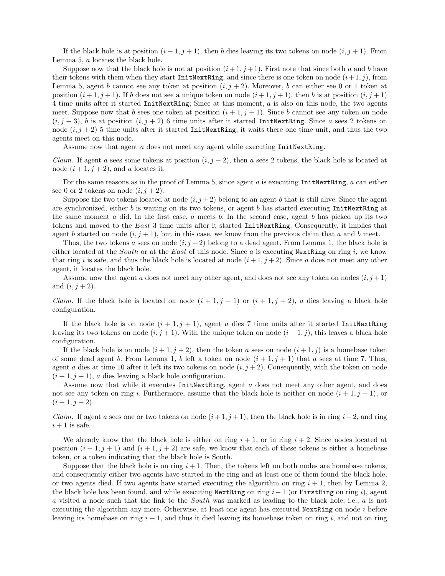If the black hole is at position  $(i + 1, j + 1)$ , then b dies leaving its two tokens on node  $(i, j + 1)$ . From Lemma 5, a locates the black hole.

Suppose now that the black hole is not at position  $(i+1, j+1)$ . First note that since both a and b have their tokens with them when they start InitNextRing, and since there is one token on node  $(i+1, j)$ , from Lemma 5, agent b cannot see any token at position  $(i, j + 2)$ . Moreover, b can either see 0 or 1 token at position  $(i+1, j+1)$ . If b does not see a unique token on node  $(i+1, j+1)$ , then b is at position  $(i, j+1)$ 4 time units after it started InitNextRing; Since at this moment, a is also on this node, the two agents meet. Suppose now that b sees one token at position  $(i + 1, j + 1)$ . Since b cannot see any token on node  $(i, j + 3)$ , b is at position  $(i, j + 2)$  6 time units after it started InitNextRing. Since a sees 2 tokens on node  $(i, j + 2)$  5 time units after it started InitNextRing, it waits there one time unit, and thus the two agents meet on this node.

Assume now that agent  $a$  does not meet any agent while executing InitNextRing.

*Claim.* If agent a sees some tokens at position  $(i, j + 2)$ , then a sees 2 tokens, the black hole is located at node  $(i + 1, j + 2)$ , and a locates it.

For the same reasons as in the proof of Lemma 5, since agent  $a$  is executing InitNextRing,  $a$  can either see 0 or 2 tokens on node  $(i, j + 2)$ .

Suppose the two tokens located at node  $(i, j + 2)$  belong to an agent b that is still alive. Since the agent are synchronized, either  $b$  is waiting on its two tokens, or agent  $b$  has started executing InitNextRing at the same moment  $a$  did. In the first case,  $a$  meets  $b$ . In the second case, agent  $b$  has picked up its two tokens and moved to the East 3 time units after it started InitNextRing. Consequently, it implies that agent b started on node  $(i, j + 1)$ , but in this case, we know from the previous claim that a and b meet.

Thus, the two tokens a sees on node  $(i, j + 2)$  belong to a dead agent. From Lemma 1, the black hole is either located at the South or at the East of this node. Since a is executing NextRing on ring i, we know that ring i is safe, and thus the black hole is located at node  $(i + 1, j + 2)$ . Since a does not meet any other agent, it locates the black hole.

Assume now that agent a does not meet any other agent, and does not see any token on nodes  $(i, j + 1)$ and  $(i, j + 2)$ .

*Claim.* If the black hole is located on node  $(i + 1, j + 1)$  or  $(i + 1, j + 2)$ , a dies leaving a black hole configuration.

If the black hole is on node  $(i + 1, j + 1)$ , agent a dies 7 time units after it started InitNextRing leaving its two tokens on node  $(i, j + 1)$ . With the unique token on node  $(i + 1, j)$ , this leaves a black hole configuration.

If the black hole is on node  $(i+1, j+2)$ , then the token a sees on node  $(i+1, j)$  is a homebase token of some dead agent b. From Lemma 1, b left a token on node  $(i + 1, j + 1)$  that a sees at time 7. Thus, agent a dies at time 10 after it left its two tokens on node  $(i, j + 2)$ . Consequently, with the token on node  $(i + 1, j + 1)$ , a dies leaving a black hole configuration.

Assume now that while it executes InitNextRing, agent a does not meet any other agent, and does not see any token on ring i. Furthermore, assume that the black hole is neither on node  $(i + 1, j + 1)$ , or  $(i+1, j+2)$ .

*Claim.* If agent a sees one or two tokens on node  $(i+1, j+1)$ , then the black hole is in ring  $i+2$ , and ring  $i+1$  is safe.

We already know that the black hole is either on ring  $i + 1$ , or in ring  $i + 2$ . Since nodes located at position  $(i + 1, j + 1)$  and  $(i + 1, j + 2)$  are safe, we know that each of these tokens is either a homebase token, or a token indicating that the black hole is South.

Suppose that the black hole is on ring  $i+1$ . Then, the tokens left on both nodes are homebase tokens, and consequently either two agents have started in the ring and at least one of them found the black hole, or two agents died. If two agents have started executing the algorithm on ring  $i + 1$ , then by Lemma 2, the black hole has been found, and while executing NextRing on ring  $i - 1$  (or FirstRing on ring i), agent a visited a node such that the link to the South was marked as leading to the black hole; i.e., a is not executing the algorithm any more. Otherwise, at least one agent has executed NextRing on node i before leaving its homebase on ring  $i + 1$ , and thus it died leaving its homebase token on ring i, and not on ring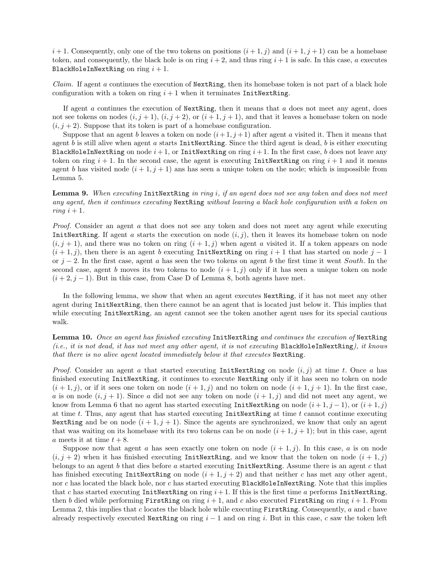$i+1$ . Consequently, only one of the two tokens on positions  $(i+1, j)$  and  $(i+1, j+1)$  can be a homebase token, and consequently, the black hole is on ring  $i + 2$ , and thus ring  $i + 1$  is safe. In this case, a executes BlackHoleInNextRing on ring  $i + 1$ .

Claim. If agent a continues the execution of NextRing, then its homebase token is not part of a black hole configuration with a token on ring  $i + 1$  when it terminates InitNextRing.

If agent  $a$  continues the execution of NextRing, then it means that  $a$  does not meet any agent, does not see tokens on nodes  $(i, j + 1)$ ,  $(i, j + 2)$ , or  $(i + 1, j + 1)$ , and that it leaves a homebase token on node  $(i, j + 2)$ . Suppose that its token is part of a homebase configuration.

Suppose that an agent b leaves a token on node  $(i+1, j+1)$  after agent a visited it. Then it means that agent  $b$  is still alive when agent  $a$  starts InitNextRing. Since the third agent is dead,  $b$  is either executing BlackHoleInNextRing on node  $i + 1$ , or InitNextRing on ring  $i + 1$ . In the first case, b does not leave any token on ring  $i + 1$ . In the second case, the agent is executing InitNextRing on ring  $i + 1$  and it means agent b has visited node  $(i+1, j+1)$  ans has seen a unique token on the node; which is impossible from Lemma 5.

Lemma 9. When executing InitNextRing in ring i, if an agent does not see any token and does not meet any agent, then it continues executing NextRing without leaving a black hole configuration with a token on ring  $i+1$ .

Proof. Consider an agent a that does not see any token and does not meet any agent while executing InitNextRing. If agent a starts the execution on node  $(i, j)$ , then it leaves its homebase token on node  $(i, j + 1)$ , and there was no token on ring  $(i + 1, j)$  when agent a visited it. If a token appears on node  $(i + 1, j)$ , then there is an agent b executing InitNextRing on ring  $i + 1$  that has started on node  $j - 1$ or  $j-2$ . In the first case, agent a has seen the two tokens on agent b the first time it went South. In the second case, agent b moves its two tokens to node  $(i + 1, j)$  only if it has seen a unique token on node  $(i+2, j-1)$ . But in this case, from Case D of Lemma 8, both agents have met.

In the following lemma, we show that when an agent executes NextRing, if it has not meet any other agent during InitNextRing, then there cannot be an agent that is located just below it. This implies that while executing InitNextRing, an agent cannot see the token another agent uses for its special cautious walk.

Lemma 10. Once an agent has finished executing InitNextRing and continues the execution of NextRing (i.e., it is not dead, it has not meet any other agent, it is not executing  $BlackHoleInNextRing$ ), it knows that there is no alive agent located immediately below it that executes NextRing.

*Proof.* Consider an agent a that started executing InitNextRing on node  $(i, j)$  at time t. Once a has finished executing InitNextRing, it continues to execute NextRing only if it has seen no token on node  $(i+1,j)$ , or if it sees one token on node  $(i+1,j)$  and no token on node  $(i+1,j+1)$ . In the first case, a is on node  $(i, j + 1)$ . Since a did not see any token on node  $(i + 1, j)$  and did not meet any agent, we know from Lemma 6 that no agent has started executing InitNextRing on node  $(i+1, j-1)$ , or  $(i+1, j)$ at time t. Thus, any agent that has started executing InitNextRing at time t cannot continue executing NextRing and be on node  $(i + 1, j + 1)$ . Since the agents are synchronized, we know that only an agent that was waiting on its homebase with its two tokens can be on node  $(i+1, j+1)$ ; but in this case, agent a meets it at time  $t + 8$ .

Suppose now that agent a has seen exactly one token on node  $(i + 1, j)$ . In this case, a is on node  $(i, j + 2)$  when it has finished executing InitNextRing, and we know that the token on node  $(i + 1, j)$ belongs to an agent b that dies before a started executing InitNextRing. Assume there is an agent c that has finished executing InitNextRing on node  $(i + 1, j + 2)$  and that neither c has met any other agent, nor c has located the black hole, nor c has started executing BlackHoleInNextRing. Note that this implies that c has started executing InitNextRing on ring  $i+1$ . If this is the first time a performs InitNextRing, then b died while performing FirstRing on ring  $i+1$ , and c also executed FirstRing on ring  $i+1$ . From Lemma 2, this implies that c locates the black hole while executing FirstRing. Consequently, a and c have already respectively executed NextRing on ring  $i-1$  and on ring i. But in this case, c saw the token left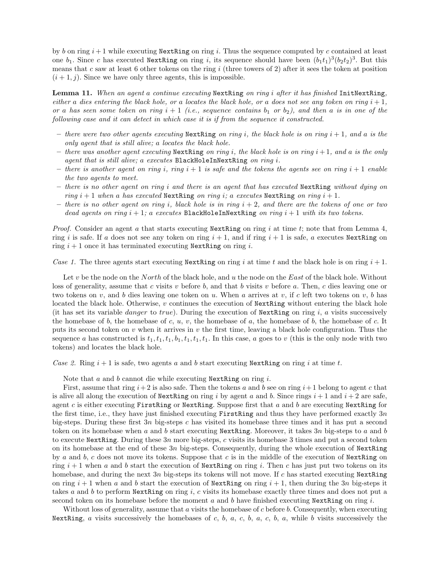by b on ring  $i+1$  while executing NextRing on ring i. Thus the sequence computed by c contained at least one  $b_1$ . Since c has executed NextRing on ring i, its sequence should have been  $(b_1t_1)^3(b_2t_2)^3$ . But this means that c saw at least 6 other tokens on the ring  $i$  (three towers of 2) after it sees the token at position  $(i + 1, i)$ . Since we have only three agents, this is impossible.

Lemma 11. When an agent a continue executing NextRing on ring i after it has finished InitNextRing, either a dies entering the black hole, or a locates the black hole, or a does not see any token on ring  $i + 1$ , or a has seen some token on ring  $i + 1$  (i.e., sequence contains  $b_1$  or  $b_2$ ), and then a is in one of the following case and it can detect in which case it is if from the sequence it constructed.

- there were two other agents executing NextRing on ring i, the black hole is on ring  $i + 1$ , and a is the only agent that is still alive; a locates the black hole.
- there was another agent executing NextRing on ring i, the black hole is on ring  $i + 1$ , and a is the only agent that is still alive; a executes BlackHoleInNextRing on ring i.
- there is another agent on ring i, ring  $i + 1$  is safe and the tokens the agents see on ring  $i + 1$  enable the two agents to meet.
- there is no other agent on ring i and there is an agent that has executed NextRing without dying on ring  $i + 1$  when a has executed NextRing on ring i; a executes NextRing on ring  $i + 1$ .
- there is no other agent on ring i, black hole is in ring  $i + 2$ , and there are the tokens of one or two dead agents on ring  $i + 1$ ; a executes BlackHoleInNextRing on ring  $i + 1$  with its two tokens.

*Proof.* Consider an agent a that starts executing NextRing on ring i at time t; note that from Lemma 4, ring i is safe. If a does not see any token on ring  $i + 1$ , and if ring  $i + 1$  is safe, a executes NextRing on ring  $i + 1$  once it has terminated executing NextRing on ring i.

Case 1. The three agents start executing NextRing on ring i at time t and the black hole is on ring  $i + 1$ .

Let v be the node on the North of the black hole, and u the node on the East of the black hole. Without loss of generality, assume that c visits v before b, and that b visits v before a. Then, c dies leaving one or two tokens on v, and b dies leaving one token on u. When a arrives at v, if c left two tokens on v, b has located the black hole. Otherwise,  $v$  continues the execution of NextRing without entering the black hole (it has set its variable *danger* to true). During the execution of NextRing on ring i, a visits successively the homebase of b, the homebase of c, u, v, the homebase of a, the homebase of b, the homebase of c. It puts its second token on v when it arrives in v the first time, leaving a black hole configuration. Thus the sequence a has constructed is  $t_1, t_1, t_1, t_1, t_1, t_1, t_1, t_1$ . In this case, a goes to v (this is the only node with two tokens) and locates the black hole.

Case 2. Ring  $i + 1$  is safe, two agents a and b start executing NextRing on ring i at time t.

Note that  $a$  and  $b$  cannot die while executing NextRing on ring  $i$ .

First, assume that ring  $i+2$  is also safe. Then the tokens a and b see on ring  $i+1$  belong to agent c that is alive all along the execution of NextRing on ring i by agent a and b. Since rings  $i + 1$  and  $i + 2$  are safe, agent  $c$  is either executing FirstRing or NextRing. Suppose first that  $a$  and  $b$  are executing NextRing for the first time, i.e., they have just finished executing FirstRing and thus they have performed exactly  $3n$ big-steps. During these first  $3n$  big-steps c has visited its homebase three times and it has put a second token on its homebase when  $a$  and  $b$  start executing NextRing. Moreover, it takes  $3n$  big-steps to  $a$  and  $b$ to execute NextRing. During these  $3n$  more big-steps, c visits its homebase 3 times and put a second token on its homebase at the end of these 3n big-steps. Consequently, during the whole execution of NextRing by a and b, c does not move its tokens. Suppose that c is in the middle of the execution of NextRing on ring  $i + 1$  when a and b start the execution of NextRing on ring i. Then c has just put two tokens on its homebase, and during the next  $3n$  big-steps its tokens will not move. If c has started executing NextRing on ring  $i + 1$  when a and b start the execution of NextRing on ring  $i + 1$ , then during the 3n big-steps it takes a and b to perform NextRing on ring i, c visits its homebase exactly three times and does not put a second token on its homebase before the moment a and b have finished executing NextRing on ring i.

Without loss of generality, assume that  $a$  visits the homebase of  $c$  before  $b$ . Consequently, when executing NextRing, a visits successively the homebases of c, b, a, c, b, a, c, b, a, while b visits successively the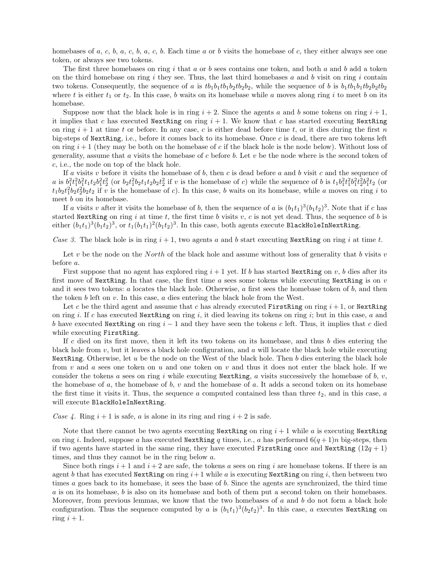homebases of  $a, c, b, a, c, b, a, c, b$ . Each time  $a$  or  $b$  visits the homebase of  $c$ , they either always see one token, or always see two tokens.

The first three homebases on ring i that a or b sees contains one token, and both a and b add a token on the third homebase on ring  $i$  they see. Thus, the last third homebases  $a$  and  $b$  visit on ring  $i$  contain two tokens. Consequently, the sequence of a is  $t b_1 b_1 t b_1 b_2 t b_2 b_2$ , while the sequence of b is  $b_1 t b_1 b_1 b_2 b_2 t b_2$ where t is either  $t_1$  or  $t_2$ . In this case, b waits on its homebase while a moves along ring i to meet b on its homebase.

Suppose now that the black hole is in ring  $i + 2$ . Since the agents a and b some tokens on ring  $i + 1$ , it implies that c has executed NextRing on ring  $i + 1$ . We know that c has started executing NextRing on ring  $i + 1$  at time t or before. In any case, c is either dead before time t, or it dies during the first n big-steps of NextRing, i.e., before it comes back to its homebase. Once c is dead, there are two tokens left on ring  $i+1$  (they may be both on the homebase of c if the black hole is the node below). Without loss of generality, assume that  $a$  visits the homebase of  $c$  before  $b$ . Let  $v$  be the node where is the second token of c, i.e., the node on top of the black hole.

If a visits v before it visits the homebase of b, then c is dead before a and b visit c and the sequence of a is  $b_1^2t_1^2b_1^2t_1t_2b_1^2t_2^2$  (or  $b_2t_1^2b_2t_1t_2b_2t_2^2$  if v is the homebase of c) while the sequence of b is  $t_1b_1^2t_1^2b_1^2t_2^2b_1^2t_2$  (or  $t_1b_2t_1^2b_2t_2^2b_2t_2$  if v is the homebase of c). In this case, b waits on its homebase, while a moves on ring i to meet b on its homebase.

If a visits v after it visits the homebase of b, then the sequence of a is  $(b_1t_1)^3(b_1t_2)^3$ . Note that if c has started NextRing on ring i at time t, the first time b visits  $v, c$  is not yet dead. Thus, the sequence of b is either  $(b_1t_1)^3(b_1t_2)^3$ , or  $t_1(b_1t_1)^2(b_1t_2)^3$ . In this case, both agents execute BlackHoleInNextRing.

Case 3. The black hole is in ring  $i + 1$ , two agents a and b start executing NextRing on ring i at time t.

Let v be the node on the North of the black hole and assume without loss of generality that b visits  $v$ before a.

First suppose that no agent has explored ring  $i + 1$  yet. If b has started NextRing on v, b dies after its first move of NextRing. In that case, the first time  $a$  sees some tokens while executing NextRing is on  $v$ and it sees two tokens: a locates the black hole. Otherwise, a first sees the homebase token of  $b$ , and then the token b left on v. In this case, a dies entering the black hole from the West.

Let c be the third agent and assume that c has already executed FirstRing on ring  $i+1$ , or NextRing on ring i. If c has executed NextRing on ring i, it died leaving its tokens on ring i; but in this case,  $a$  and b have executed NextRing on ring  $i-1$  and they have seen the tokens c left. Thus, it implies that c died while executing FirstRing.

If c died on its first move, then it left its two tokens on its homebase, and thus b dies entering the black hole from  $v$ , but it leaves a black hole configuration, and  $a$  will locate the black hole while executing NextRing. Otherwise, let  $u$  be the node on the West of the black hole. Then  $b$  dies entering the black hole from  $v$  and  $a$  sees one token on  $u$  and one token on  $v$  and thus it does not enter the black hole. If we consider the tokens a sees on ring i while executing NextRing, a visits successively the homebase of b,  $v$ , the homebase of a, the homebase of b, v and the homebase of a. It adds a second token on its homebase the first time it visits it. Thus, the sequence a computed contained less than three  $t_2$ , and in this case, a will execute BlackHoleInNextRing.

Case 4. Ring  $i + 1$  is safe, a is alone in its ring and ring  $i + 2$  is safe.

Note that there cannot be two agents executing NextRing on ring  $i + 1$  while a is executing NextRing on ring i. Indeed, suppose a has executed NextRing q times, i.e., a has performed  $6(q+1)n$  big-steps, then if two agents have started in the same ring, they have executed FirstRing once and NextRing  $(12q + 1)$ times, and thus they cannot be in the ring below a.

Since both rings  $i + 1$  and  $i + 2$  are safe, the tokens a sees on ring i are homebase tokens. If there is an agent b that has executed NextRing on ring  $i+1$  while a is executing NextRing on ring i, then between two times a goes back to its homebase, it sees the base of b. Since the agents are synchronized, the third time a is on its homebase, b is also on its homebase and both of them put a second token on their homebases. Moreover, from previous lemmas, we know that the two homebases of  $a$  and  $b$  do not form a black hole configuration. Thus the sequence computed by a is  $(b_1t_1)^3(b_2t_2)^3$ . In this case, a executes NextRing on ring  $i + 1$ .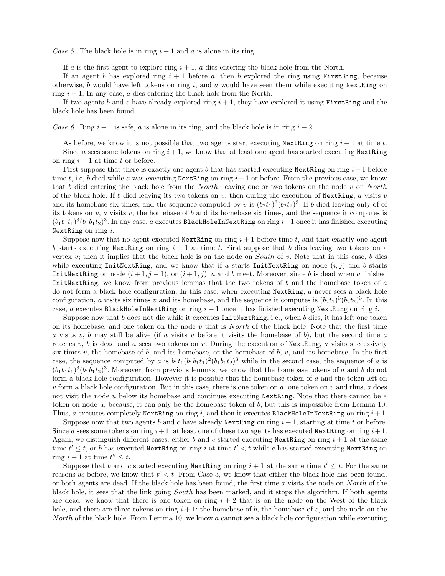Case 5. The black hole is in ring  $i + 1$  and a is alone in its ring.

If a is the first agent to explore ring  $i + 1$ , a dies entering the black hole from the North.

If an agent b has explored ring  $i + 1$  before a, then b explored the ring using FirstRing, because otherwise, b would have left tokens on ring i, and a would have seen them while executing NextRing on ring  $i - 1$ . In any case, a dies entering the black hole from the North.

If two agents b and c have already explored ring  $i + 1$ , they have explored it using FirstRing and the black hole has been found.

Case 6. Ring  $i + 1$  is safe, a is alone in its ring, and the black hole is in ring  $i + 2$ .

As before, we know it is not possible that two agents start executing NextRing on ring  $i + 1$  at time t. Since a sees some tokens on ring  $i+1$ , we know that at least one agent has started executing NextRing

on ring  $i + 1$  at time t or before.

First suppose that there is exactly one agent b that has started executing NextRing on ring  $i+1$  before time t, i.e, b died while a was executing NextRing on ring  $i-1$  or before. From the previous case, we know that b died entering the black hole from the *North*, leaving one or two tokens on the node v on *North* of the black hole. If b died leaving its two tokens on  $v$ , then during the execution of NextRing, a visits  $v$ and its homebase six times, and the sequence computed by v is  $(b_2t_1)^3(b_2t_2)^3$ . If b died leaving only of of its tokens on  $v$ ,  $a$  visits  $v$ , the homebase of  $b$  and its homebase six times, and the sequence it computes is  $(b_1b_1t_1)^3(b_1b_1t_2)^3$ . In any case, a executes BlackHoleInNextRing on ring  $i+1$  once it has finished executing NextRing on ring  $i$ .

Suppose now that no agent executed NextRing on ring  $i + 1$  before time t, and that exactly one agent b starts executing NextRing on ring  $i + 1$  at time t. First suppose that b dies leaving two tokens on a vertex v; then it implies that the black hole is on the node on South of v. Note that in this case, b dies while executing InitNextRing, and we know that if a starts InitNextRing on node  $(i, j)$  and b starts InitNextRing on node  $(i + 1, j - 1)$ , or  $(i + 1, j)$ , a and b meet. Moreover, since b is dead when a finished InitNextRing, we know from previous lemmas that the two tokens of b and the homebase token of a do not form a black hole configuration. In this case, when executing NextRing, a never sees a black hole configuration, a visits six times v and its homebase, and the sequence it computes is  $(b_2t_1)^3(b_2t_2)^3$ . In this case, a executes BlackHoleInNextRing on ring  $i + 1$  once it has finished executing NextRing on ring i.

Suppose now that b does not die while it executes  $InitNextRing$ , i.e., when b dies, it has left one token on its homebase, and one token on the node  $v$  that is *North* of the black hole. Note that the first time a visits v, b may still be alive (if a visits v before it visits the homebase of b), but the second time a reaches  $v, b$  is dead and a sees two tokens on v. During the execution of NextRing, a visits successively six times  $v$ , the homebase of  $b$ , and its homebase, or the homebase of  $b$ ,  $v$ , and its homebase. In the first case, the sequence computed by a is  $b_1t_1(b_1b_1t_1)^2(b_1b_1t_2)^3$  while in the second case, the sequence of a is  $(b_1b_1t_1)^3(b_1b_1t_2)^3$ . Moreover, from previous lemmas, we know that the homebase tokens of a and b do not form a black hole configuration. However it is possible that the homebase token of a and the token left on v form a black hole configuration. But in this case, there is one token on a, one token on v and thus, a does not visit the node u below its homebase and continues executing NextRing. Note that there cannot be a token on node  $u$ , because, it can only be the homebase token of  $b$ , but this is impossible from Lemma 10. Thus, a executes completely NextRing on ring i, and then it executes BlackHoleInNextRing on ring  $i+1$ .

Suppose now that two agents b and c have already NextRing on ring  $i + 1$ , starting at time t or before. Since a sees some tokens on ring  $i+1$ , at least one of these two agents has executed NextRing on ring  $i+1$ . Again, we distinguish different cases: either b and c started executing NextRing on ring  $i + 1$  at the same time  $t' \leq t$ , or b has executed NextRing on ring i at time  $t' < t$  while c has started executing NextRing on ring  $i + 1$  at time  $t'' \leq t$ .

Suppose that b and c started executing NextRing on ring  $i + 1$  at the same time  $t' \leq t$ . For the same reasons as before, we know that  $t' < t$ . From Case 3, we know that either the black hole has been found, or both agents are dead. If the black hole has been found, the first time a visits the node on North of the black hole, it sees that the link going South has been marked, and it stops the algorithm. If both agents are dead, we know that there is one token on ring  $i + 2$  that is on the node on the West of the black hole, and there are three tokens on ring  $i + 1$ : the homebase of b, the homebase of c, and the node on the North of the black hole. From Lemma 10, we know a cannot see a black hole configuration while executing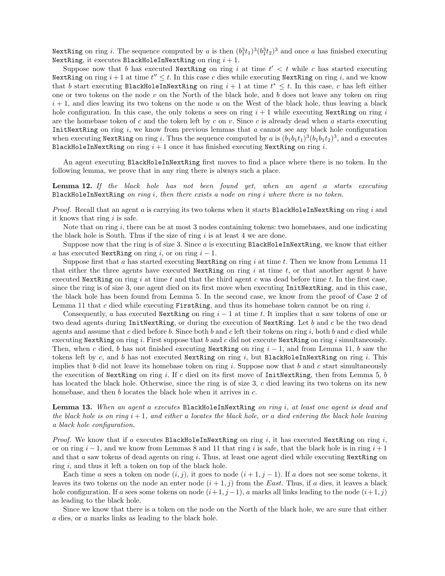NextRing on ring *i*. The sequence computed by *a* is then  $(b_1^3t_1)^3(b_1^3t_2)^3$  and once *a* has finished executing NextRing, it executes BlackHoleInNextRing on ring  $i + 1$ .

Suppose now that b has executed NextRing on ring i at time  $t' < t$  while c has started executing NextRing on ring  $i+1$  at time  $t'' \leq t$ . In this case c dies while executing NextRing on ring i, and we know that b start executing BlackHoleInNextRing on ring  $i + 1$  at time  $t^* \leq t$ . In this case, c has left either one or two tokens on the node  $v$  on the North of the black hole, and  $b$  does not leave any token on ring  $i + 1$ , and dies leaving its two tokens on the node u on the West of the black hole, thus leaving a black hole configuration. In this case, the only tokens a sees on ring  $i + 1$  while executing NextRing on ring i are the homebase token of c and the token left by c on v. Since c is already dead when a starts executing InitNextRing on ring  $i$ , we know from previous lemmas that  $a$  cannot see any black hole configuration when executing NextRing on ring i. Thus the sequence computed by a is  $(b_1b_1t_1)^3(b_1b_1t_2)^3$ , and a executes BlackHoleInNextRing on ring  $i + 1$  once it has finished executing NextRing on ring i.

An agent executing BlackHoleInNextRing first moves to find a place where there is no token. In the following lemma, we prove that in any ring there is always such a place.

Lemma 12. If the black hole has not been found yet, when an agent a starts executing BlackHoleInNextRing on ring  $i$ , then there exists a node on ring  $i$  where there is no token.

Proof. Recall that an agent a is carrying its two tokens when it starts BlackHoleInNextRing on ring i and it knows that ring  $i$  is safe.

Note that on ring  $i$ , there can be at most 3 nodes containing tokens: two homebases, and one indicating the black hole is South. Thus if the size of ring  $i$  is at least 4 we are done.

Suppose now that the ring is of size 3. Since a is executing BlackHoleInNextRing, we know that either a has executed NextRing on ring i, or on ring  $i-1$ .

Suppose first that a has started executing  $NextRing$  on ring i at time t. Then we know from Lemma 11 that either the three agents have executed NextRing on ring i at time t, or that another agent b have executed NextRing on ring i at time t and that the third agent c was dead before time t. In the first case, since the ring is of size 3, one agent died on its first move when executing InitNextRing, and in this case, the black hole has been found from Lemma 5. In the second case, we know from the proof of Case 2 of Lemma 11 that c died while executing FirstRing, and thus its homebase token cannot be on ring i.

Consequently, a has executed NextRing on ring  $i - 1$  at time t. It implies that a saw tokens of one or two dead agents during InitNextRing, or during the execution of NextRing. Let b and c be the two dead agents and assume that c died before b. Since both b and c left their tokens on ring i, both b and c died while executing NextRing on ring i. First suppose that b and c did not execute NextRing on ring i simultaneously. Then, when c died, b has not finished executing NextRing on ring  $i - 1$ , and from Lemma 11, b saw the tokens left by  $c$ , and  $b$  has not executed NextRing on ring  $i$ , but BlackHoleInNextRing on ring  $i$ . This implies that b did not leave its homebase token on ring i. Suppose now that b and c start simultaneously the execution of NextRing on ring i. If c died on its first move of InitNextRing, then from Lemma 5,  $b$ has located the black hole. Otherwise, since the ring is of size 3, c died leaving its two tokens on its new homebase, and then b locates the black hole when it arrives in c.

Lemma 13. When an agent a executes BlackHoleInNextRing on ring i, at least one agent is dead and the black hole is on ring  $i + 1$ , and either a locates the black hole, or a died entering the black hole leaving a black hole configuration.

Proof. We know that if a executes BlackHoleInNextRing on ring i, it has executed NextRing on ring i, or on ring  $i-1$ , and we know from Lemmas 8 and 11 that ring i is safe, that the black hole is in ring  $i+1$ and that a saw tokens of dead agents on ring i. Thus, at least one agent died while executing NextRing on ring  $i$ , and thus it left a token on top of the black hole.

Each time a sees a token on node  $(i, j)$ , it goes to node  $(i + 1, j - 1)$ . If a does not see some tokens, it leaves its two tokens on the node an enter node  $(i + 1, j)$  from the East. Thus, if a dies, it leaves a black hole configuration. If a sees some tokens on node  $(i+1, j-1)$ , a marks all links leading to the node  $(i+1, j)$ as leading to the black hole.

Since we know that there is a token on the node on the North of the black hole, we are sure that either a dies, or a marks links as leading to the black hole.